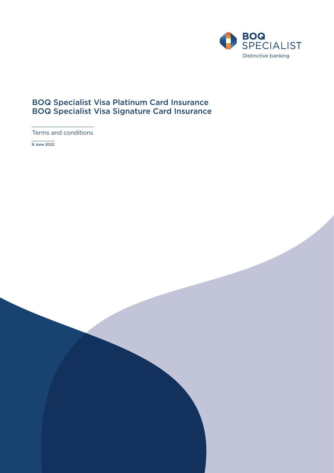

# BOQ Specialist Visa Platinum Card Insurance BOQ Specialist Visa Signature Card Insurance

Terms and conditions

9 June 2022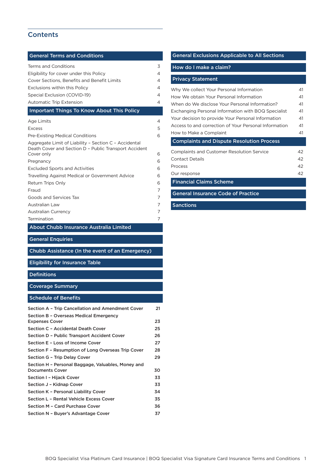# **Contents**

| <b>General Terms and Conditions</b>                                                                                          |          |
|------------------------------------------------------------------------------------------------------------------------------|----------|
| <b>Terms and Conditions</b>                                                                                                  | 3        |
| Eligibility for cover under this Policy                                                                                      | 4        |
| <b>Cover Sections, Benefits and Benefit Limits</b>                                                                           | 4        |
| Exclusions within this Policy                                                                                                | 4        |
| Special Exclusion (COVID-19)                                                                                                 | 4        |
| Automatic Trip Extension                                                                                                     | 4        |
| <b>Important Things To Know About This Policy</b>                                                                            |          |
| Age Limits                                                                                                                   | 4        |
| <b>Excess</b>                                                                                                                | 5        |
| <b>Pre-Existing Medical Conditions</b>                                                                                       | 6        |
| Aggregate Limit of Liability - Section C - Accidental<br>Death Cover and Section D - Public Transport Accident<br>Cover only | 6        |
|                                                                                                                              | 6        |
| Pregnancy<br><b>Excluded Sports and Activities</b>                                                                           | 6        |
| Travelling Against Medical or Government Advice                                                                              | 6        |
| Return Trips Only                                                                                                            | 6        |
| Fraud                                                                                                                        | 7        |
| Goods and Services Tax                                                                                                       | 7        |
| Australian Law                                                                                                               | 7        |
| Australian Currency                                                                                                          | 7        |
| Termination                                                                                                                  | 7        |
| About Chubb Insurance Australia Limited                                                                                      |          |
|                                                                                                                              |          |
|                                                                                                                              |          |
| <b>General Enquiries</b>                                                                                                     |          |
| Chubb Assistance (In the event of an Emergency)                                                                              |          |
| <b>Eligibility for Insurance Table</b>                                                                                       |          |
| <b>Definitions</b>                                                                                                           |          |
| <b>Coverage Summary</b>                                                                                                      |          |
| <b>Schedule of Benefits</b>                                                                                                  |          |
| Section A - Trip Cancellation and Amendment Cover                                                                            | 21       |
| Section B - Overseas Medical Emergency                                                                                       |          |
| <b>Expenses Cover</b>                                                                                                        | 23       |
| Section C - Accidental Death Cover                                                                                           | 25       |
| Section D – Public Transport Accident Cover                                                                                  | 26       |
| Section E – Loss of Income Cover                                                                                             | 27       |
| Section F - Resumption of Long Overseas Trip Cover                                                                           | 28       |
| Section G - Trip Delay Cover                                                                                                 | 29       |
| Section H - Personal Baggage, Valuables, Money and<br><b>Documents Cover</b>                                                 | 30       |
| Section I - Hijack Cover                                                                                                     | 33       |
| Section J - Kidnap Cover                                                                                                     | 33       |
| Section K – Personal Liability Cover                                                                                         | 34       |
| Section L - Rental Vehicle Excess Cover                                                                                      | 35       |
| Section M - Card Purchase Cover<br>Section N - Buyer's Advantage Cover                                                       | 36<br>37 |

# [General Exclusions Applicable to All Sections](#page-38-0)  [How do I make a claim?](#page-40-0) [Privacy Statement](#page-41-0) [Why We collect Your Personal Information](#page-41-0) 41 [How We obtain Your Personal Information](#page-41-0) 41 [When do We disclose Your Personal Information?](#page-41-0) 41 [Exchanging Personal Information with BOQ Specialist](#page-41-0) 41 [Your decision to provide Your Personal Information](#page-41-0) 41 [Access to and correction of Your Personal Information](#page-41-0) 41 [How to Make a Complaint](#page-41-0) 41 [Complaints and Dispute Resolution Process](#page-42-0) [Complaints and Customer Resolution Service 42](#page-42-0) [Contact Details](#page-42-0) 42 [Process](#page-42-0) 42

[Our response](#page-42-0) 42 [Financial Claims Scheme](#page-43-0)

[General Insurance Code of Practice](#page-43-0)

[Sanctions](#page-43-0)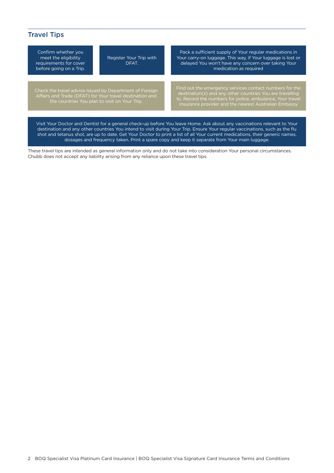# Travel Tips

Confirm whether you meet the eligibility requirements for cover before going on a Trip.

Register Your Trip with DFAT.

Check the travel advice issued by Department of Foreign Affairs and Trade (DFAT) for Your travel destination and

Pack a sufficient supply of Your regular medications in Your carry-on luggage. This way, if Your luggage is lost or delayed You won't have any concern over taking Your medication as required

Find out the emergency services contact numbers for the to. Record the numbers for police, ambulance, Your travel insurance provider and the nearest Australian Embassy

Visit Your Doctor and Dentist for a general check-up before You leave Home. Ask about any vaccinations relevant to Your destination and any other countries You intend to visit during Your Trip. Ensure Your regular vaccinations, such as the flu shot and tetanus shot, are up to date. Get Your Doctor to print a list of all Your current medications, their generic names, dosages and frequency taken. Print a spare copy and keep it separate from Your main luggage.

These travel tips are intended as general information only and do not take into consideration Your personal circumstances. Chubb does not accept any liability arising from any reliance upon these travel tips.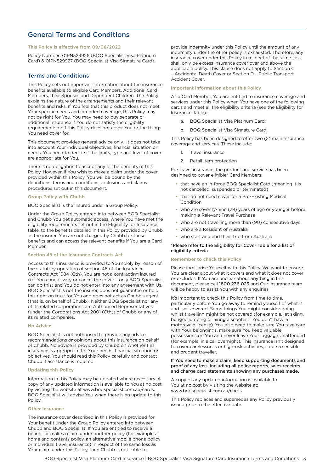# <span id="page-3-0"></span>General Terms and Conditions

#### **This Policy is effective from 09/06/2022**

Policy Number: 01PN529926 (BOQ Specialist Visa Platinum Card) & 01PN529927 (BOQ Specialist Visa Signature Card).

### Terms and Conditions

This Policy sets out important information about the insurance benefits available to eligible Card Members, Additional Card Members, their Spouses and Dependent Children. The Policy explains the nature of the arrangements and their relevant benefits and risks. If You feel that this product does not meet Your specific needs and intended coverage, this Policy may not be right for You. You may need to buy separate or additional insurance if You do not satisfy the eligibility requirements or if this Policy does not cover You or the things You need cover for.

This document provides general advice only. It does not take into account Your individual objectives, financial situation or needs. You need to decide if the limits, type and level of cover are appropriate for You.

There is no obligation to accept any of the benefits of this Policy. However, if You wish to make a claim under the cover provided within this Policy, You will be bound by the definitions, terms and conditions, exclusions and claims procedures set out in this document.

#### **Group Policy with Chubb**

BOQ Specialist is the insured under a Group Policy.

Under the Group Policy entered into between BOQ Specialist and Chubb You get automatic access, where You have met the eligibility requirements set out in the Eligibility for Insurance table, to the benefits detailed in this Policy provided by Chubb as the insurer. You are not charged by Chubb for these benefits and can access the relevant benefits if You are a Card Member.

#### **Section 48 of the Insurance Contracts Act**

Access to this insurance is provided to You solely by reason of the statutory operation of section 48 of the Insurance Contracts Act 1984 (Cth). You are not a contracting insured (i.e. You cannot vary or cancel the cover – only BOQ Specialist can do this) and You do not enter into any agreement with Us. BOQ Specialist is not the insurer, does not guarantee or hold this right on trust for You and does not act as Chubb's agent (that is, on behalf of Chubb). Neither BOQ Specialist nor any of its related corporations are Authorised Representatives (under the Corporations Act 2001 (Cth)) of Chubb or any of its related companies.

#### **No Advice**

BOQ Specialist is not authorised to provide any advice, recommendations or opinions about this insurance on behalf of Chubb. No advice is provided by Chubb on whether this insurance is appropriate for Your needs, financial situation or objectives. You should read this Policy carefully and contact Chubb if assistance is required.

#### **Updating this Policy**

Information in this Policy may be updated where necessary. A copy of any updated information is available to You at no cost by visiting the website at www.boqspecialist.com.au/cards. BOQ Specialist will advise You when there is an update to this Policy.

#### **Other Insurance**

The insurance cover described in this Policy is provided for Your benefit under the Group Policy entered into between Chubb and BOQ Specialist. If You are entitled to receive a benefit or make a claim under another policy (for example a home and contents policy, an alternative mobile phone policy or individual travel insurance) in respect of the same loss as Your claim under this Policy, then Chubb is not liable to

provide indemnity under this Policy until the amount of any indemnity under the other policy is exhausted. Therefore, any insurance cover under this Policy in respect of the same loss shall only be excess insurance cover over and above the applicable policy. This clause does not apply to Section C – Accidental Death Cover or Section D – Public Transport Accident Cover.

#### **Important information about this Policy**

As a Card Member, You are entitled to insurance coverage and services under this Policy when You have one of the following cards and meet all the eligibility criteria (see the Eligibility for Insurance Table):

- a. BOQ Specialist Visa Platinum Card;
- b. BOQ Specialist Visa Signature Card.

This Policy has been designed to offer two (2) main insurance coverage and services. These include:

- 1. Travel insurance
- 2. Retail item protection

For travel insurance, the product and service has been designed to cover eligible\* Card Members:

- that have an in-force BOQ Specialist Card (meaning it is not cancelled, suspended or terminated)
- that do not need cover for a Pre-Existing Medical Condition
- who are seventy-nine (79) years of age or younger before making a Relevant Travel Purchase
- who are not travelling more than (90) consecutive days
- who are a Resident of Australia
- who start and end their Trip from Australia

#### \*Please refer to the Eligibility for Cover Table for a list of eligibility criteria

#### **Remember to check this Policy**

Please familiarise Yourself with this Policy. We want to ensure You are clear about what it covers and what it does not cover or excludes. If You are unclear about anything in this document, please call 1800 236 023 and Our insurance team will be happy to assist You with any enquiries.

It's important to check this Policy from time to time, particularly before You go away to remind yourself of what is and isn't covered. Some things You might consider doing whilst travelling might be not covered (for example, jet skiing, bungee jumping or hiring a scooter if You don't have a motorcycle license). You also need to make sure You take care with Your belongings, make sure You keep valuable possessions on You and never leave Your luggage Unattended (for example, in a car overnight). This insurance isn't designed to cover carelessness or high-risk activities, so be a sensible and prudent traveller.

#### If You need to make a claim, keep supporting documents and proof of any loss, including all police reports, sales receipts and charge card statements showing any purchases made.

A copy of any updated information is available to You at no cost by visiting the website at: www.boqspecialist.com.au/cards.

This Policy replaces and supersedes any Policy previously issued prior to the effective date.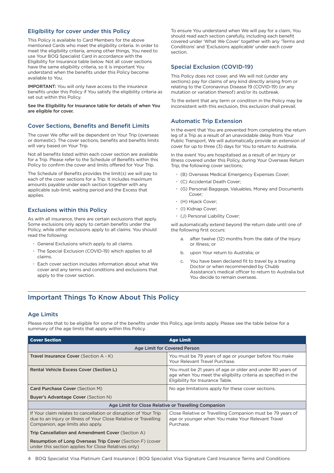## <span id="page-4-0"></span>Eligibility for cover under this Policy

This Policy is available to Card Members for the above mentioned Cards who meet the eligibility criteria. In order to meet the eligibility criteria, among other things, You need to use Your BOQ Specialist Card in accordance with the Eligibility for Insurance table below. Not all cover sections have the same eligibility criteria, so it is important You understand when the benefits under this Policy become available to You.

IMPORTANT: You will only have access to the insurance benefits under this Policy if You satisfy the eligibility criteria as set out within this Policy.

See the Eligibility for Insurance table for details of when You are eligible for cover.

## Cover Sections, Benefits and Benefit Limits

The cover We offer will be dependent on Your Trip (overseas or domestic). The cover sections, benefits and benefits limits will vary based on Your Trip.

Not all benefits listed within each cover section are available for a Trip. Please refer to the Schedule of Benefits within this Policy to confirm the cover and limits offered for Your Trip.

The Schedule of Benefits provides the limit(s) we will pay to each of the cover sections for a Trip. It includes maximum amounts payable under each section together with any applicable sub-limit, waiting period and the Excess that applies.

## Exclusions within this Policy

As with all insurance, there are certain exclusions that apply. Some exclusions only apply to certain benefits under the Policy, while other exclusions apply to all claims. You should read the following:

- General Exclusions which apply to all claims.
- The Special Exclusion (COVID-19) which applies to all claims.
- Each cover section includes information about what We cover and any terms and conditions and exclusions that apply to the cover section.

To ensure You understand when We will pay for a claim, You should read each section carefully, including each benefit covered under 'What We Cover' together with any 'Terms and Conditions' and 'Exclusions applicable' under each cover section.

## Special Exclusion (COVID-19)

This Policy does not cover, and We will not (under any sections) pay for claims of any kind directly arising from or relating to the Coronavirus Disease 19 (COVID-19) (or any mutation or variation thereof) and/or its outbreak.

To the extent that any term or condition in the Policy may be inconsistent with this exclusion, this exclusion shall prevail.

## Automatic Trip Extension

In the event that You are prevented from completing the return leg of a Trip as a result of an unavoidable delay from Your Public Transport, We will automatically provide an extension of cover for up to three (3) days for You to return to Australia.

In the event You are hospitalised as a result of an Injury or Illness covered under this Policy, during Your Overseas Return Trip, the following cover sections;

- (B) Overseas Medical Emergency Expenses Cover;
- (C) Accidental Death Cover;
- (G) Personal Baggage, Valuables, Money and Documents Cover;
- (H) Hijack Cover;
- (I) Kidnap Cover;
- (J) Personal Liability Cover;

will automatically extend beyond the return date until one of the following first occurs:

- after twelve (12) months from the date of the Injury or Illness; or
- b. upon Your return to Australia; or
- c. You have been declared fit to travel by a treating Doctor or when recommended by Chubb Assistance's medical officer to return to Australia but You decide to remain overseas.

# Important Things To Know About This Policy

## Age Limits

Please note that to be eligible for some of the benefits under this Policy, age limits apply. Please see the table below for a summary of the age limits that apply within this Policy.

| <b>Cover Section</b>                                                                                                                                                      | <b>Age Limit</b>                                                                                                                                                 |
|---------------------------------------------------------------------------------------------------------------------------------------------------------------------------|------------------------------------------------------------------------------------------------------------------------------------------------------------------|
|                                                                                                                                                                           | Age Limit for Covered Person                                                                                                                                     |
| <b>Travel Insurance Cover</b> (Section A - K)                                                                                                                             | You must be 79 years of age or younger before You make<br>Your Relevant Travel Purchase.                                                                         |
| Rental Vehicle Excess Cover (Section L)                                                                                                                                   | You must be 21 years of age or older and under 80 years of<br>age when You meet the eligibility criteria as specified in the<br>Eligibility for Insurance Table. |
| <b>Card Purchase Cover (Section M)</b>                                                                                                                                    | No age limitations apply for these cover sections.                                                                                                               |
| <b>Buyer's Advantage Cover (Section N)</b>                                                                                                                                |                                                                                                                                                                  |
|                                                                                                                                                                           | Age Limit for Close Relative or Travelling Companion                                                                                                             |
| If Your claim relates to cancellation or disruption of Your Trip<br>due to an Injury or Illness of Your Close Relative or Travelling<br>Companion, age limits also apply. | Close Relative or Travelling Companion must be 79 years of<br>age or younger when You make Your Relevant Travel<br>Purchase.                                     |
| Trip Cancellation and Amendment Cover (Section A)                                                                                                                         |                                                                                                                                                                  |
| <b>Resumption of Long Overseas Trip Cover (Section F) (cover</b><br>under this section applies for Close Relatives only)                                                  |                                                                                                                                                                  |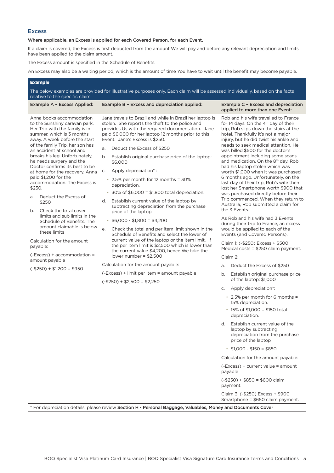## <span id="page-5-0"></span>**Excess**

## Where applicable, an Excess is applied for each Covered Person, for each Event.

If a claim is covered, the Excess is first deducted from the amount We will pay and before any relevant depreciation and limits have been applied to the claim amount.

The Excess amount is specified in the Schedule of Benefits.

An Excess may also be a waiting period, which is the amount of time You have to wait until the benefit may become payable.

### Example

The below examples are provided for illustrative purposes only. Each claim will be assessed individually, based on the facts relative to the specific claim

| Example A - Excess Applied:                                                                                                                                                                                                                                                                                                                                                                                                                                                                                                                                                                                                                                                                                                            | Example B - Excess and depreciation applied:                                                                                                                                                                                                                                                                                                                                                                                                                                                                                                                                                                                                                                                                                                                                                                                                                                                                                                                                                                                                                                              | Example C - Excess and depreciation<br>applied to more than one Event:                                                                                                                                                                                                                                                                                                                                                                                                                                                                                                                                                                                                                                                                                                                                                                                                                                                                                                                                                                                                                                                                                                                                                                                                                                                                                       |
|----------------------------------------------------------------------------------------------------------------------------------------------------------------------------------------------------------------------------------------------------------------------------------------------------------------------------------------------------------------------------------------------------------------------------------------------------------------------------------------------------------------------------------------------------------------------------------------------------------------------------------------------------------------------------------------------------------------------------------------|-------------------------------------------------------------------------------------------------------------------------------------------------------------------------------------------------------------------------------------------------------------------------------------------------------------------------------------------------------------------------------------------------------------------------------------------------------------------------------------------------------------------------------------------------------------------------------------------------------------------------------------------------------------------------------------------------------------------------------------------------------------------------------------------------------------------------------------------------------------------------------------------------------------------------------------------------------------------------------------------------------------------------------------------------------------------------------------------|--------------------------------------------------------------------------------------------------------------------------------------------------------------------------------------------------------------------------------------------------------------------------------------------------------------------------------------------------------------------------------------------------------------------------------------------------------------------------------------------------------------------------------------------------------------------------------------------------------------------------------------------------------------------------------------------------------------------------------------------------------------------------------------------------------------------------------------------------------------------------------------------------------------------------------------------------------------------------------------------------------------------------------------------------------------------------------------------------------------------------------------------------------------------------------------------------------------------------------------------------------------------------------------------------------------------------------------------------------------|
| Anna books accommodation<br>to the Sunshiny caravan park.<br>Her Trip with the family is in<br>summer, which is 3 months<br>away. A week before the start<br>of the family Trip, her son has<br>an accident at school and<br>breaks his leg. Unfortunately,<br>he needs surgery and the<br>Doctor confirms its best to be<br>at home for the recovery. Anna<br>paid \$1,200 for the<br>accommodation. The Excess is<br>\$250.<br>Deduct the Excess of<br>a.<br>\$250<br>Check the total cover<br>b.<br>limits and sub limits in the<br>Schedule of Benefits. The<br>amount claimable is below<br>these limits<br>Calculation for the amount<br>payable:<br>$(-Excess) +accommodation =$<br>amount payable<br>$(-$250) + $1,200 = $950$ | Jane travels to Brazil and while in Brazil her laptop is<br>stolen. She reports the theft to the police and<br>provides Us with the required documentation. Jane<br>paid \$6,000 for her laptop 12 months prior to this<br>Event. Jane's Excess is \$250.<br>Deduct the Excess of \$250<br>a.<br>Establish original purchase price of the laptop:<br>b.<br>\$6,000<br>Apply depreciation*:<br>C.<br>• 2.5% per month for 12 months = 30%<br>depreciation.<br>$\cdot$ 30% of \$6,000 = \$1,800 total depreciation.<br>Establish current value of the laptop by<br>d.<br>subtracting depreciation from the purchase<br>price of the laptop<br>$$6,000 - $1,800 = $4,200$<br>Check the total and per item limit shown in the<br>е.<br>Schedule of Benefits and select the lower of<br>current value of the laptop or the item limit. If<br>the per item limit is \$2,500 which is lower than<br>the current value \$4,200, hence We take the<br>lower number = $$2,500$<br>Calculation for the amount payable:<br>(-Excess) + limit per item = amount payable<br>$(-$250) + $2,500 = $2,250$ | Rob and his wife travelled to France<br>for 14 days. On the 4 <sup>th</sup> day of their<br>trip, Rob slips down the stairs at the<br>hotel. Thankfully it's not a major<br>injury, but he did twist his ankle and<br>needs to seek medical attention. He<br>was billed \$500 for the doctor's<br>appointment including some scans<br>and medication. On the 8 <sup>th</sup> day, Rob<br>had his laptop stolen which was<br>worth \$1,000 when it was purchased<br>6 months ago. Unfortunately, on the<br>last day of their trip, Rob's wife then<br>lost her Smartphone worth \$900 that<br>was purchased directly before their<br>Trip commenced. When they return to<br>Australia, Rob submitted a claim for<br>the 3 Events.<br>As Rob and his wife had 3 Events<br>during their trip to France, an excess<br>would be applied to each of the<br>Events (and Covered Persons).<br>Claim 1: (-\$250) Excess + \$500<br>Medical costs = \$250 claim payment.<br>Claim 2:<br>Deduct the Excess of \$250<br>a.<br>b.<br>Establish original purchase price<br>of the laptop: \$1,000<br>Apply depreciation*:<br>C.<br>• 2.5% per month for 6 months =<br>15% depreciation.<br>$\cdot$ 15% of \$1,000 = \$150 total<br>depreciation.<br>Establish current value of the<br>d.<br>laptop by subtracting<br>depreciation from the purchase<br>price of the laptop |
|                                                                                                                                                                                                                                                                                                                                                                                                                                                                                                                                                                                                                                                                                                                                        |                                                                                                                                                                                                                                                                                                                                                                                                                                                                                                                                                                                                                                                                                                                                                                                                                                                                                                                                                                                                                                                                                           | $$1,000 - $150 = $850$                                                                                                                                                                                                                                                                                                                                                                                                                                                                                                                                                                                                                                                                                                                                                                                                                                                                                                                                                                                                                                                                                                                                                                                                                                                                                                                                       |
|                                                                                                                                                                                                                                                                                                                                                                                                                                                                                                                                                                                                                                                                                                                                        |                                                                                                                                                                                                                                                                                                                                                                                                                                                                                                                                                                                                                                                                                                                                                                                                                                                                                                                                                                                                                                                                                           | Calculation for the amount payable:                                                                                                                                                                                                                                                                                                                                                                                                                                                                                                                                                                                                                                                                                                                                                                                                                                                                                                                                                                                                                                                                                                                                                                                                                                                                                                                          |
|                                                                                                                                                                                                                                                                                                                                                                                                                                                                                                                                                                                                                                                                                                                                        |                                                                                                                                                                                                                                                                                                                                                                                                                                                                                                                                                                                                                                                                                                                                                                                                                                                                                                                                                                                                                                                                                           | (-Excess) + current value = amount                                                                                                                                                                                                                                                                                                                                                                                                                                                                                                                                                                                                                                                                                                                                                                                                                                                                                                                                                                                                                                                                                                                                                                                                                                                                                                                           |
|                                                                                                                                                                                                                                                                                                                                                                                                                                                                                                                                                                                                                                                                                                                                        |                                                                                                                                                                                                                                                                                                                                                                                                                                                                                                                                                                                                                                                                                                                                                                                                                                                                                                                                                                                                                                                                                           | payable                                                                                                                                                                                                                                                                                                                                                                                                                                                                                                                                                                                                                                                                                                                                                                                                                                                                                                                                                                                                                                                                                                                                                                                                                                                                                                                                                      |
|                                                                                                                                                                                                                                                                                                                                                                                                                                                                                                                                                                                                                                                                                                                                        |                                                                                                                                                                                                                                                                                                                                                                                                                                                                                                                                                                                                                                                                                                                                                                                                                                                                                                                                                                                                                                                                                           | $(-$250) + $850 = $600$ claim<br>payment.                                                                                                                                                                                                                                                                                                                                                                                                                                                                                                                                                                                                                                                                                                                                                                                                                                                                                                                                                                                                                                                                                                                                                                                                                                                                                                                    |
|                                                                                                                                                                                                                                                                                                                                                                                                                                                                                                                                                                                                                                                                                                                                        |                                                                                                                                                                                                                                                                                                                                                                                                                                                                                                                                                                                                                                                                                                                                                                                                                                                                                                                                                                                                                                                                                           | Claim 3: (-\$250) Excess + \$900<br>Smartphone = \$650 claim payment.                                                                                                                                                                                                                                                                                                                                                                                                                                                                                                                                                                                                                                                                                                                                                                                                                                                                                                                                                                                                                                                                                                                                                                                                                                                                                        |
|                                                                                                                                                                                                                                                                                                                                                                                                                                                                                                                                                                                                                                                                                                                                        | * For depreciation details, please review Section H - Personal Baggage, Valuables, Money and Documents Cover                                                                                                                                                                                                                                                                                                                                                                                                                                                                                                                                                                                                                                                                                                                                                                                                                                                                                                                                                                              |                                                                                                                                                                                                                                                                                                                                                                                                                                                                                                                                                                                                                                                                                                                                                                                                                                                                                                                                                                                                                                                                                                                                                                                                                                                                                                                                                              |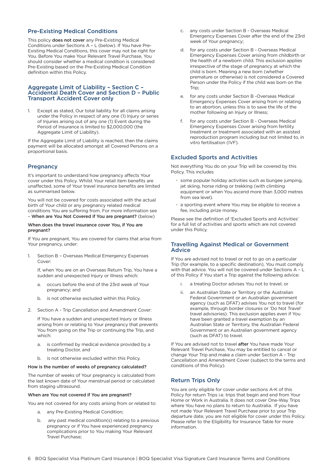## <span id="page-6-0"></span>Pre-Existing Medical Conditions

This policy does not cover any Pre-Existing Medical Conditions under Sections A – L (below). If You have Pre-Existing Medical Conditions, this cover may not be right for You. Before You make Your Relevant Travel Purchase, You should consider whether a medical condition is considered Pre-Existing based on the Pre-Existing Medical Condition definition within this Policy.

#### Aggregate Limit of Liability – Section C – Accidental Death Cover and Section D – Public Transport Accident Cover only

1. Except as stated, Our total liability for all claims arising under the Policy in respect of any one (1) Injury or series of Injuries arising out of any one (1) Event during the Period of Insurance is limited to \$2,000,000 (the Aggregate Limit of Liability).

If the Aggregate Limit of Liability is reached, then the claims payment will be allocated amongst all Covered Persons on a proportional basis.

## **Pregnancy**

It's important to understand how pregnancy affects Your cover under this Policy. Whilst Your retail item benefits are unaffected, some of Your travel insurance benefits are limited as summarised below.

You will not be covered for costs associated with the actual birth of Your child or any pregnancy related medical conditions You are suffering from. For more information see – When are You Not Covered if You are pregnant? (below)

#### When does the travel insurance cover You, if You are pregnant?

If You are pregnant, You are covered for claims that arise from Your pregnancy, under:

1. Section B – Overseas Medical Emergency Expenses Cover

If, when You are on an Overseas Return Trip, You have a sudden and unexpected Injury or Illness which:

- a. occurs before the end of the 23rd week of Your pregnancy; and
- b. is not otherwise excluded within this Policy.
- 2. Section A Trip Cancellation and Amendment Cover:

If You have a sudden and unexpected Injury or Illness arising from or relating to Your pregnancy that prevents You from going on the Trip or continuing the Trip, and which:

- a. is confirmed by medical evidence provided by a treating Doctor, and
- b. is not otherwise excluded within this Policy.

#### How is the number of weeks of pregnancy calculated?

The number of weeks of Your pregnancy is calculated from the last known date of Your menstrual period or calculated from staging ultrasound.

#### When are You not covered if You are pregnant?

You are not covered for any costs arising from or related to:

- a. any Pre-Existing Medical Condition;
- b. any past medical condition(s) relating to a previous pregnancy or if You have experienced pregnancy complications prior to You making Your Relevant Travel Purchase;
- c. any costs under Section B Overseas Medical Emergency Expenses Cover after the end of the 23rd week of Your pregnancy;
- d. for any costs under Section B Overseas Medical Emergency Expenses Cover arising from childbirth or the health of a newborn child. This exclusion applies irrespective of the stage of pregnancy at which the child is born. Meaning a new born (whether premature or otherwise) is not considered a Covered Person under the Policy if the child was born on the Trip;
- e. for any costs under Section B -Overseas Medical Emergency Expenses Cover arising from or relating to an abortion, unless this is to save the life of the mother following an Injury or Illness;
- f. for any costs under Section B Overseas Medical Emergency Expenses Cover arising from fertility treatment or treatment associated with an assisted reproduction program including but not limited to, in vitro fertilisation (IVF).

## Excluded Sports and Activities

Not everything You do on your Trip will be covered by this Policy. This includes

- some popular holiday activities such as bungee jumping, jet skiing, horse riding or trekking (with climbing equipment or when You ascend more than 3,000 metres from sea level).
- a sporting event where You may be eligible to receive a fee, including prize money.

Please see the definition of 'Excluded Sports and Activities' for a full list of activities and sports which are not covered under this Policy.

## Travelling Against Medical or Government Advice

If You are advised not to travel or not to go on a particular Trip (for example, to a specific destination), You must comply with that advice. You will not be covered under Sections A of this Policy if You start a Trip against the following advice:

- i. a treating Doctor advises You not to travel; or
- ii. an Australian State or Territory or the Australian Federal Government or an Australian government agency (such as DFAT) advises You not to travel (for example, through border closures or 'Do Not Travel' travel advisories). This exclusion applies even if You have been granted a travel exemption by an Australian State or Territory, the Australian Federal Government or an Australian government agency (such as DFAT) to travel.

If You are advised not to travel after You have made Your Relevant Travel Purchase, You may be entitled to cancel or change Your Trip and make a claim under Section A - Trip Cancellation and Amendment Cover (subject to the terms and conditions of this Policy).

## Return Trips Only

You are only eligible for cover under sections A-K of this Policy for return Trips i.e. trips that begin and end from Your Home or Work in Australia. It does not cover One-Way Trips where You have no plans to return to Australia. If you have not made Your Relevant Travel Purchase prior to your Trip departure date, you are not eligible for cover under this Policy. Please refer to the Eligibility for Insurance Table for more information.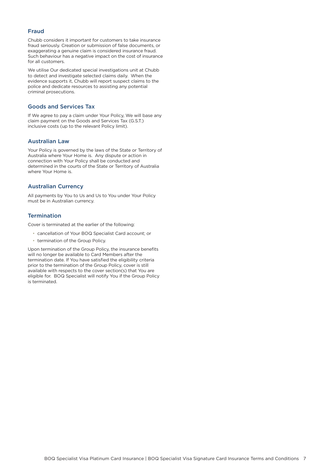## <span id="page-7-0"></span>Fraud

Chubb considers it important for customers to take insurance fraud seriously. Creation or submission of false documents, or exaggerating a genuine claim is considered insurance fraud. Such behaviour has a negative impact on the cost of insurance for all customers.

We utilise Our dedicated special investigations unit at Chubb to detect and investigate selected claims daily. When the evidence supports it, Chubb will report suspect claims to the police and dedicate resources to assisting any potential criminal prosecutions.

## Goods and Services Tax

If We agree to pay a claim under Your Policy, We will base any claim payment on the Goods and Services Tax (G.S.T.) inclusive costs (up to the relevant Policy limit).

#### Australian Law

Your Policy is governed by the laws of the State or Territory of Australia where Your Home is. Any dispute or action in connection with Your Policy shall be conducted and determined in the courts of the State or Territory of Australia where Your Home is.

## Australian Currency

All payments by You to Us and Us to You under Your Policy must be in Australian currency.

### **Termination**

Cover is terminated at the earlier of the following:

- cancellation of Your BOQ Specialist Card account; or
- termination of the Group Policy.

Upon termination of the Group Policy, the insurance benefits will no longer be available to Card Members after the termination date. If You have satisfied the eligibility criteria prior to the termination of the Group Policy, cover is still available with respects to the cover section(s) that You are eligible for. BOQ Specialist will notify You if the Group Policy is terminated.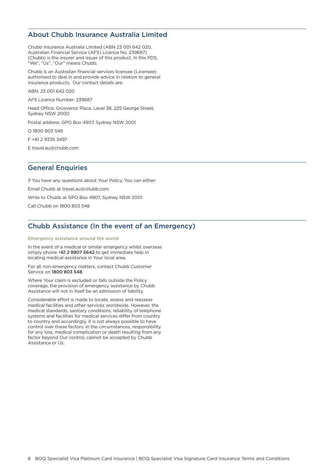## <span id="page-8-0"></span>About Chubb Insurance Australia Limited

Chubb Insurance Australia Limited (ABN 23 001 642 020, Australian Financial Service (AFS) Licence No. 239687) (Chubb) is the insurer and issuer of this product. In this PDS, "We", "Us", "Our" means Chubb.

Chubb is an Australian financial services licensee (Licensee) authorised to deal in and provide advice in relation to general insurance products. Our contact details are:

ABN: 23 001 642 020

AFS Licence Number: 239687

Head Office: Grosvenor Place, Level 38, 225 George Street, Sydney NSW 2000

Postal address: GPO Box 4907, Sydney NSW 2001

O 1800 803 548

F +61 2 9335 3497

E travel.au@chubb.com

## General Enquiries

If You have any questions about Your Policy, You can either: Email Chubb at travel.au@chubb.com Write to Chubb at GPO Box 4907, Sydney NSW 2001 Call Chubb on 1800 803 548

# Chubb Assistance (In the event of an Emergency)

#### **Emergency assistance around the world**

In the event of a medical or similar emergency whilst overseas simply phone +61 2 8907 5642 to get immediate help in locating medical assistance in Your local area.

For all non-emergency matters, contact Chubb Customer Service on 1800 803 548.

Where Your claim is excluded or falls outside the Policy coverage, the provision of emergency assistance by Chubb Assistance will not in itself be an admission of liability.

Considerable effort is made to locate, assess and reassess medical facilities and other services worldwide. However, the medical standards, sanitary conditions, reliability of telephone systems and facilities for medical services differ from country to country and accordingly, it is not always possible to have control over these factors. In the circumstances, responsibility for any loss, medical complication or death resulting from any factor beyond Our control, cannot be accepted by Chubb Assistance or Us.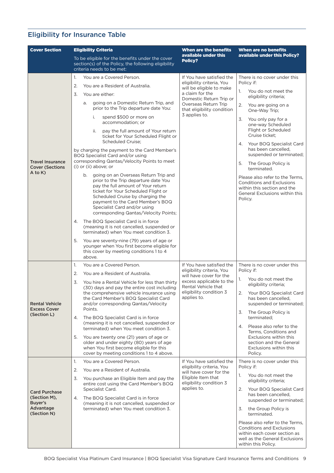# <span id="page-9-0"></span>Eligibility for Insurance Table

| <b>Cover Section</b>                                         | <b>Eligibility Criteria</b>                                                                                                                                                                                                                                                                                      | <b>When are the benefits</b>                                               | <b>When are no benefits</b>                                                                                                                                  |  |
|--------------------------------------------------------------|------------------------------------------------------------------------------------------------------------------------------------------------------------------------------------------------------------------------------------------------------------------------------------------------------------------|----------------------------------------------------------------------------|--------------------------------------------------------------------------------------------------------------------------------------------------------------|--|
|                                                              | To be eligible for the benefits under the cover<br>section(s) of the Policy, the following eligibility<br>criteria needs to be met:                                                                                                                                                                              | available under this<br>Policy?                                            | available under this Policy?                                                                                                                                 |  |
|                                                              | You are a Covered Person.<br>1.                                                                                                                                                                                                                                                                                  | If You have satisfied the                                                  | There is no cover under this                                                                                                                                 |  |
|                                                              | 2.<br>You are a Resident of Australia.                                                                                                                                                                                                                                                                           | eligibility criteria, You<br>will be eligible to make                      | Policy if:                                                                                                                                                   |  |
|                                                              | 3.<br>You are either:                                                                                                                                                                                                                                                                                            | a claim for the<br>Domestic Return Trip or                                 | You do not meet the<br>1.<br>eligibility criteria;                                                                                                           |  |
|                                                              | going on a Domestic Return Trip, and<br>а.<br>prior to the Trip departure date You:                                                                                                                                                                                                                              | Overseas Return Trip<br>that eligibility condition                         | 2.<br>You are going on a<br>One-Way Trip;                                                                                                                    |  |
|                                                              | spend \$500 or more on<br>i.<br>accommodation; or                                                                                                                                                                                                                                                                | 3 applies to.                                                              | 3.<br>You only pay for a<br>one-way Scheduled                                                                                                                |  |
|                                                              | pay the full amount of Your return<br>ii.<br>ticket for Your Scheduled Flight or<br>Scheduled Cruise;                                                                                                                                                                                                            |                                                                            | Flight or Scheduled<br>Cruise ticket:<br>Your BOQ Specialist Card<br>4.                                                                                      |  |
|                                                              | by charging the payment to the Card Member's<br>BOQ Specialist Card and/or using                                                                                                                                                                                                                                 |                                                                            | has been cancelled,<br>suspended or terminated;                                                                                                              |  |
| <b>Travel Insurance</b><br><b>Cover (Sections</b><br>A to K) | corresponding Qantas/Velocity Points to meet<br>$(i)$ or $(ii)$ above; or                                                                                                                                                                                                                                        |                                                                            | 5.<br>The Group Policy is<br>terminated.                                                                                                                     |  |
|                                                              | going on an Overseas Return Trip and<br>b.<br>prior to the Trip departure date You<br>pay the full amount of Your return<br>ticket for Your Scheduled Flight or<br>Scheduled Cruise by charging the<br>payment to the Card Member's BOQ<br>Specialist Card and/or using<br>corresponding Qantas/Velocity Points; |                                                                            | Please also refer to the Terms,<br><b>Conditions and Exclusions</b><br>within this section and the<br>General Exclusions within this<br>Policy.              |  |
|                                                              | The BOQ Specialist Card is in force<br>4.<br>(meaning it is not cancelled, suspended or<br>terminated) when You meet condition 3.                                                                                                                                                                                |                                                                            |                                                                                                                                                              |  |
|                                                              | 5.<br>You are seventy-nine (79) years of age or<br>younger when You first become eligible for<br>this cover by meeting conditions 1 to 4<br>above.                                                                                                                                                               |                                                                            |                                                                                                                                                              |  |
|                                                              | 1.<br>You are a Covered Person.                                                                                                                                                                                                                                                                                  | If You have satisfied the                                                  | There is no cover under this                                                                                                                                 |  |
|                                                              | 2.<br>You are a Resident of Australia.                                                                                                                                                                                                                                                                           | eligibility criteria, You<br>will have cover for the                       | Policy if:                                                                                                                                                   |  |
|                                                              | 3.<br>You hire a Rental Vehicle for less than thirty<br>(30) days and pay the entire cost including                                                                                                                                                                                                              | excess applicable to the<br>Rental Vehicle that<br>eligibility condition 3 | You do not meet the<br>1.<br>eligibility criteria;                                                                                                           |  |
| <b>Rental Vehicle</b><br><b>Excess Cover</b>                 | the comprehensive vehicle insurance using<br>the Card Member's BOQ Specialist Card<br>and/or corresponding Qantas/Velocity<br>Points.                                                                                                                                                                            | applies to.                                                                | 2.<br>Your BOQ Specialist Card<br>has been cancelled,<br>suspended or terminated;                                                                            |  |
| (Section L)                                                  | The BOQ Specialist Card is in force<br>4.<br>(meaning it is not cancelled, suspended or                                                                                                                                                                                                                          |                                                                            | The Group Policy is<br>3.<br>terminated:                                                                                                                     |  |
|                                                              | terminated) when You meet condition 3.                                                                                                                                                                                                                                                                           |                                                                            | Please also refer to the<br>4.<br>Terms, Conditions and                                                                                                      |  |
|                                                              | You are twenty one (21) years of age or<br>5.<br>older and under eighty (80) years of age<br>when You first become eligible for this<br>cover by meeting conditions 1 to 4 above.                                                                                                                                |                                                                            | Exclusions within this<br>section and the General<br>Exclusions within this<br>Policy.                                                                       |  |
|                                                              | 1.<br>You are a Covered Person.                                                                                                                                                                                                                                                                                  | If You have satisfied the                                                  | There is no cover under this                                                                                                                                 |  |
|                                                              | 2.<br>You are a Resident of Australia.                                                                                                                                                                                                                                                                           | eligibility criteria, You<br>will have cover for the                       | Policy if:                                                                                                                                                   |  |
|                                                              | 3.<br>You purchase an Eligible Item and pay the<br>entire cost using the Card Member's BOQ                                                                                                                                                                                                                       | Eligible Item that<br>eligibility condition 3                              | You do not meet the<br>1.<br>eligibility criteria;                                                                                                           |  |
| <b>Card Purchase</b><br>(Section M),                         | Specialist Card.<br>The BOQ Specialist Card is in force<br>4.                                                                                                                                                                                                                                                    | applies to.                                                                | Your BOQ Specialist Card<br>2.<br>has been cancelled,<br>suspended or terminated;                                                                            |  |
| Buyer's<br>Advantage<br>(Section N)                          | (meaning it is not cancelled, suspended or<br>terminated) when You meet condition 3.                                                                                                                                                                                                                             |                                                                            | the Group Policy is<br>3.<br>terminated.                                                                                                                     |  |
|                                                              |                                                                                                                                                                                                                                                                                                                  |                                                                            | Please also refer to the Terms,<br><b>Conditions and Exclusions</b><br>within each cover section as<br>well as the General Exclusions<br>within this Policy. |  |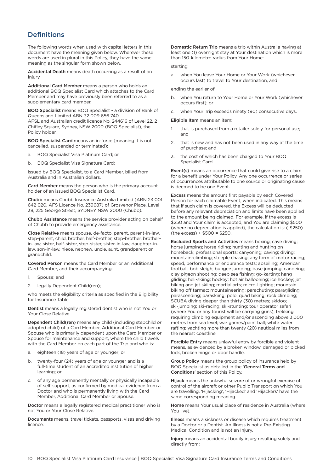# <span id="page-10-0"></span>**Definitions**

The following words when used with capital letters in this document have the meaning given below. Wherever these words are used in plural in this Policy, they have the same meaning as the singular form shown below.

Accidental Death means death occurring as a result of an Injury

Additional Card Member means a person who holds an additional BOQ Specialist Card which attaches to the Card Member and may have previously been referred to as a supplementary card member.

BOQ Specialist means BOQ Specialist - a division of Bank of Queensland Limited ABN 32 009 656 740 AFSL and Australian credit licence No. 244616 of Level 22, 2 Chifley Square, Sydney, NSW 2000 (BOQ Specialist), the Policy holder.

BOQ Specialist Card means an in-force (meaning it is not cancelled, suspended or terminated):

- a. BOQ Specialist Visa Platinum Card; or
- b. BOQ Specialist Visa Signature Card;

issued by BOQ Specialist, to a Card Member, billed from Australia and in Australian dollars.

Card Member means the person who is the primary account holder of an issued BOQ Specialist Card.

Chubb means Chubb Insurance Australia Limited (ABN 23 001 642 020, AFS Licence No. 239687) of Grosvenor Place, Level 38, 225 George Street, SYDNEY NSW 2000 (Chubb).

Chubb Assistance means the service provider acting on behalf of Chubb to provide emergency assistance.

Close Relative means spouse, de-facto, parent, parent-in-law, step-parent, child, brother, half-brother, step-brother, brotherin-law, sister, half-sister, step-sister, sister-in-law, daughter-inlaw, son-in-law, niece, nephew, uncle, aunt, grandparent or grandchild.

Covered Person means the Card Member or an Additional Card Member, and their accompanying:

- 1. Spouse; and
- 2. legally Dependent Child(ren);

who meets the eligibility criteria as specified in the Eligibility for Insurance Table.

Dentist means a legally registered dentist who is not You or Your Close Relative.

Dependent Child(ren) means any child (including stepchild or adopted child) of a Card Member, Additional Card Member or Spouse who is primarily dependent upon the Card Member or Spouse for maintenance and support, where the child travels with the Card Member on each part of the Trip and who is:

- a. eighteen (18) years of age or younger; or
- b. twenty-four (24) years of age or younger and is a full-time student of an accredited institution of higher learning; or
- c. of any age permanently mentally or physically incapable of self-support, as confirmed by medical evidence from a Doctor and who is permanently living with the Card Member, Additional Card Member or Spouse.

Doctor means a legally registered medical practitioner who is not You or Your Close Relative.

Documents means, travel tickets, passports, visas and driving licence.

Domestic Return Trip means a trip within Australia having at least one (1) overnight stay at Your destination which is more than 150-kilometre radius from Your Home:

#### starting:

a. when You leave Your Home or Your Work (whichever occurs last) to travel to Your destination, and

ending the earlier of:

- when You return to Your Home or Your Work (whichever occurs first); or
- when Your Trip exceeds ninety (90) consecutive days.

Eligible Item means an item:

- 1. that is purchased from a retailer solely for personal use; and
- 2. that is new and has not been used in any way at the time of purchase; and
- 3. the cost of which has been charged to Your BOQ Specialist Card.

Event(s) means an occurrence that could give rise to a claim for a benefit under Your Policy. Any one occurrence or series of occurrences attributable to one source or originating cause is deemed to be one Event.

Excess means the amount first payable by each Covered Person for each claimable Event, when indicated. This means that if such claim is covered, the Excess will be deducted before any relevant depreciation and limits have been applied to the amount being claimed. For example, if the excess is \$250 and Your claim is accepted, and You are claiming \$500 (where no depreciation is applied), the calculation is: (-\$250) (the excess) + \$500 = \$250.

Excluded Sports and Activities means boxing; cave diving; horse jumping; horse riding; hunting and hunting on horseback; professional sports; canyoning; caving; diving; mountain-climbing; steeple chasing; any form of motor racing; speed, performance or endurance tests; abseiling; American football; bob sleigh; bungee jumping; base jumping, canoeing; clay pigeon shooting; deep sea fishing; go-karting; hang gliding; heli-skiing; hockey; hot air ballooning; ice hockey; jet biking and jet skiing; martial arts; micro-lighting; mountain biking off tarmac; mountaineering; parachuting; paragliding; parascending; paraskiing; polo; quad biking; rock climbing; SCUBA diving deeper than thirty (30) metres; skidoo; ski-jumping; ski-racing; ski-stunting; tour operator safari (where You or any tourist will be carrying guns); trekking requiring climbing equipment and/or ascending above 3,000 metres from sea level; war games/paint ball; white water rafting; yachting more than twenty (20) nautical miles from the nearest coastline.

Forcible Entry means unlawful entry by forcible and violent means, as evidenced by a broken window, damaged or picked lock, broken hinge or door handle.

Group Policy means the group policy of insurance held by BOQ Specialist as detailed in the 'General Terms and Conditions' section of this Policy.

Hijack means the unlawful seizure of or wrongful exercise of control of the aircraft or other Public Transport on which You are travelling. 'Hijacking', 'Hijacked' and 'Hijackers' have the same corresponding meaning.

Home means Your usual place of residence in Australia (where You live).

Illness means a sickness or disease which requires treatment by a Doctor or a Dentist. An Illness is not a Pre-Existing Medical Condition and is not an Injury.

Injury means an accidental bodily injury resulting solely and directly from: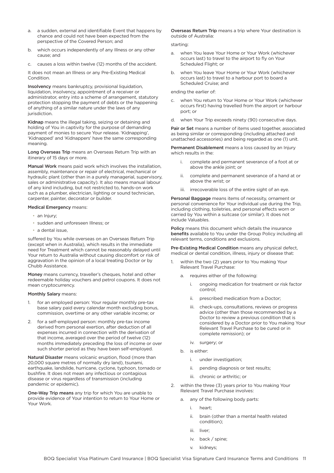- a. a sudden, external and identifiable Event that happens by chance and could not have been expected from the perspective of the Covered Person; and
- b. which occurs independently of any Illness or any other cause; and
- c. causes a loss within twelve (12) months of the accident.

It does not mean an Illness or any Pre-Existing Medical Condition.

Insolvency means bankruptcy, provisional liquidation, liquidation, insolvency, appointment of a receiver or administrator, entry into a scheme of arrangement, statutory protection stopping the payment of debts or the happening of anything of a similar nature under the laws of any jurisdiction.

Kidnap means the illegal taking, seizing or detaining and holding of You in captivity for the purpose of demanding payment of monies to secure Your release. 'Kidnapping', 'Kidnapped' and 'Kidnappers' have the same corresponding meaning.

Long Overseas Trip means an Overseas Return Trip with an itinerary of 15 days or more.

Manual Work means paid work which involves the installation, assembly, maintenance or repair of electrical, mechanical or hydraulic plant (other than in a purely managerial, supervisory, sales or administrative capacity). It also means manual labour of any kind including, but not restricted to, hands-on work such as a plumber, electrician, lighting or sound technician, carpenter, painter, decorator or builder.

#### Medical Emergency means:

- an Injury:
- sudden and unforeseen Illness; or
- a dental issue,

suffered by You while overseas on an Overseas Return Trip (except when in Australia), which results in the immediate need for Treatment which cannot be reasonably delayed until Your return to Australia without causing discomfort or risk of aggravation in the opinion of a local treating Doctor or by Chubb Assistance.

Money means currency, traveller's cheques, hotel and other redeemable holiday vouchers and petrol coupons. It does not mean cryptocurrency.

#### Monthly Salary means:

- 1. for an employed person: Your regular monthly pre-tax base salary paid every calendar month excluding bonus, commission, overtime or any other variable income; or
- 2. for a self-employed person: monthly pre-tax income derived from personal exertion, after deduction of all expenses incurred in connection with the derivation of that income, averaged over the period of twelve (12) months immediately preceding the loss of income or over such shorter period as they have been self-employed.

Natural Disaster means volcanic eruption, flood (more than 20,000 square metres of normally dry land), tsunami, earthquake, landslide, hurricane, cyclone, typhoon, tornado or bushfire. It does not mean any infectious or contagious disease or virus regardless of transmission (including pandemic or epidemic).

One-Way Trip means any trip for which You are unable to provide evidence of Your intention to return to Your Home or Your Work.

Overseas Return Trip means a trip where Your destination is outside of Australia:

#### starting:

- a. when You leave Your Home or Your Work (whichever occurs last) to travel to the airport to fly on Your Scheduled Flight; or
- when You leave Your Home or Your Work (whichever occurs last) to travel to a harbour port to board a Scheduled Cruise; and

#### ending the earlier of:

- when You return to Your Home or Your Work (whichever occurs first) having travelled from the airport or harbour port; or
- d. when Your Trip exceeds ninety (90) consecutive days.

Pair or Set means a number of items used together, associated as being similar or corresponding (including attached and unattached accessories) and being regarded as one (1) unit.

Permanent Disablement means a loss caused by an Injury which results in the:

- i. complete and permanent severance of a foot at or above the ankle joint; or
- ii. complete and permanent severance of a hand at or above the wrist; or
- iii. irrecoverable loss of the entire sight of an eye.

Personal Baggage means items of necessity, ornament or personal convenience for Your individual use during the Trip, including clothing, toiletries, and personal effects worn or carried by You within a suitcase (or similar). It does not include Valuables.

Policy means this document which details the insurance benefits available to You under the Group Policy including all relevant terms, conditions and exclusions.

Pre-Existing Medical Condition means any physical defect, medical or dental condition, illness, injury or disease that:

- within the two (2) years prior to You making Your Relevant Travel Purchase:
	- a. requires either of the following:
		- i. ongoing medication for treatment or risk factor control;
		- ii. prescribed medication from a Doctor;
		- iii. check-ups, consultations, reviews or progress advice (other than those recommended by a Doctor to review a previous condition that is considered by a Doctor prior to You making Your Relevant Travel Purchase to be cured or in complete remission); or
		- iv. surgery; or
	- b. is either:
		- i. under investigation;
		- ii. pending diagnosis or test results;
		- iii. chronic or arthritic; or
- 2. within the three (3) years prior to You making Your Relevant Travel Purchase involves:
	- a. any of the following body parts:
		- i. heart;
		- ii. brain (other than a mental health related condition);
		- iii. liver:
		- iv. back / spine;
		- v. kidneys;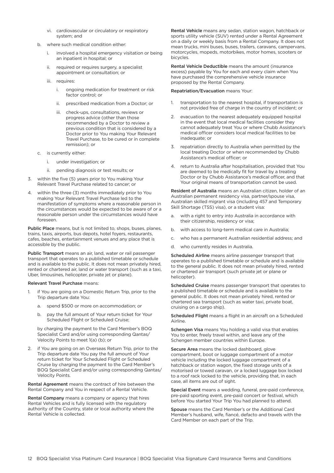- vi. cardiovascular or circulatory or respiratory system; and
- b. where such medical condition either:
	- i. involved a hospital emergency visitation or being an inpatient in hospital; or
	- ii. required or requires surgery, a specialist appointment or consultation; or
	- iii. requires:
		- i. ongoing medication for treatment or risk factor control; or
		- ii. prescribed medication from a Doctor; or
		- iii. check-ups, consultations, reviews or progress advice (other than those recommended by a Doctor to review a previous condition that is considered by a Doctor prior to You making Your Relevant Travel Purchase, to be cured or in complete remission); or
- c. is currently either:
	- i. under investigation; or
	- ii. pending diagnosis or test results; or
- 3. within the five (5) years prior to You making Your Relevant Travel Purchase related to cancer; or
- 4. within the three (3) months immediately prior to You making Your Relevant Travel Purchase led to the manifestation of symptoms where a reasonable person in the circumstances would be expected to be aware of or a reasonable person under the circumstances would have foreseen.

Public Place means, but is not limited to, shops, buses, planes, trains, taxis, airports, bus depots, hotel foyers, restaurants, cafes, beaches, entertainment venues and any place that is accessible by the public.

Public Transport means an air, land, water or rail passenger transport that operates to a published timetable or schedule and is available to the public. It does not mean privately hired, rented or chartered air, land or water transport (such as a taxi, Uber, limousines, helicopter, private jet or plane).

#### Relevant Travel Purchase means:

- 1. if You are going on a Domestic Return Trip, prior to the Trip departure date You:
	- a. spend \$500 or more on accommodation; or
	- b. pay the full amount of Your return ticket for Your Scheduled Flight or Scheduled Cruise;

by charging the payment to the Card Member's BOQ Specialist Card and/or using corresponding Qantas/ Velocity Points to meet 1(a) (b); or

2. if You are going on an Overseas Return Trip, prior to the Trip departure date You pay the full amount of Your return ticket for Your Scheduled Flight or Scheduled Cruise by charging the payment to the Card Member's BOQ Specialist Card and/or using corresponding Qantas/ Velocity Points.

Rental Agreement means the contract of hire between the Rental Company and You in respect of a Rental Vehicle.

Rental Company means a company or agency that hires Rental Vehicles and is fully licensed with the regulatory authority of the Country, state or local authority where the Rental Vehicle is collected.

Rental Vehicle means any sedan, station wagon, hatchback or sports utility vehicle (SUV) rented under a Rental Agreement on a daily or weekly basis from a Rental Company. It does not mean trucks, mini buses, buses, trailers, caravans, campervans, motorcycles, mopeds, motorbikes, motor homes, scooters or bicycles.

Rental Vehicle Deductible means the amount (insurance excess) payable by You for each and every claim when You have purchased the comprehensive vehicle insurance proposed by the Rental Company.

#### Repatriation/Evacuation means Your:

- 1. transportation to the nearest hospital, if transportation is not provided free of charge in the country of incident; or
- 2. evacuation to the nearest adequately equipped hospital in the event that local medical facilities consider they cannot adequately treat You or where Chubb Assistance's medical officer considers local medical facilities to be inadequate; or
- 3. repatriation directly to Australia when permitted by the local treating Doctor or when recommended by Chubb Assistance's medical officer; or
- 4. return to Australia after hospitalisation, provided that You are deemed to be medically fit for travel by a treating Doctor or by Chubb Assistance's medical officer, and that Your original means of transportation cannot be used.

Resident of Australia means an Australian citizen, holder of an Australian permanent residency visa, partner/spouse visa, Australian skilled migrant visa (including 457 and Temporary Skill Shortage (TSS) visa), or a student visa:

- with a right to entry into Australia in accordance with their citizenship, residency or visa;
- b. with access to long-term medical care in Australia;
- c. who has a permanent Australian residential address; and
- d. who currently resides in Australia.

Scheduled Airline means airline passenger transport that operates to a published timetable or schedule and is available to the general public. It does not mean privately hired, rented or chartered air transport (such private jet or plane or helicopter).

Scheduled Cruise means passenger transport that operates to a published timetable or schedule and is available to the general public. It does not mean privately hired, rented or chartered sea transport (such as water taxi, private boat, cruising on a cargo ship).

Scheduled Flight means a flight in an aircraft on a Scheduled Airline.

Schengen Visa means You holding a valid visa that enables You to enter, freely travel within, and leave any of the Schengen member countries within Europe.

Secure Area means the locked dashboard, glove compartment, boot or luggage compartment of a motor vehicle including the locked luggage compartment of a hatchback or station wagon, the fixed storage units of a motorised or towed caravan, or a locked luggage box locked to a roof rack locked to the vehicle, providing that, in each case, all items are out of sight.

Special Event means a wedding, funeral, pre-paid conference, pre-paid sporting event, pre-paid concert or festival, which before You started Your Trip You had planned to attend.

Spouse means the Card Member's or the Additional Card Member's husband, wife, fiancé, defacto and travels with the Card Member on each part of the Trip.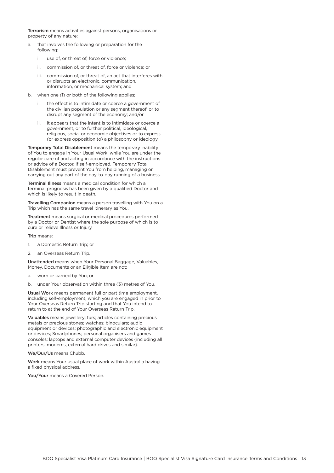Terrorism means activities against persons, organisations or property of any nature:

- a. that involves the following or preparation for the following:
	- i. use of, or threat of, force or violence;
	- ii. commission of, or threat of, force or violence; or
	- iii. commission of, or threat of, an act that interferes with or disrupts an electronic, communication, information, or mechanical system; and
- b. when one (1) or both of the following applies;
	- i. the effect is to intimidate or coerce a government of the civilian population or any segment thereof, or to disrupt any segment of the economy; and/or
	- ii. it appears that the intent is to intimidate or coerce a government, or to further political, ideological, religious, social or economic objectives or to express (or express opposition to) a philosophy or ideology.

Temporary Total Disablement means the temporary inability of You to engage in Your Usual Work, while You are under the regular care of and acting in accordance with the instructions or advice of a Doctor. If self-employed, Temporary Total Disablement must prevent You from helping, managing or carrying out any part of the day-to-day running of a business.

Terminal Illness means a medical condition for which a terminal prognosis has been given by a qualified Doctor and which is likely to result in death.

Travelling Companion means a person travelling with You on a Trip which has the same travel itinerary as You.

Treatment means surgical or medical procedures performed by a Doctor or Dentist where the sole purpose of which is to cure or relieve Illness or Injury.

Trip means:

- 1. a Domestic Return Trip; or
- 2. an Overseas Return Trip.

Unattended means when Your Personal Baggage, Valuables, Money, Documents or an Eligible Item are not:

- a. worn or carried by You; or
- b. under Your observation within three (3) metres of You.

Usual Work means permanent full or part time employment, including self-employment, which you are engaged in prior to Your Overseas Return Trip starting and that You intend to return to at the end of Your Overseas Return Trip.

Valuables means jewellery; furs; articles containing precious metals or precious stones; watches; binoculars; audio equipment or devices; photographic and electronic equipment or devices; Smartphones; personal organisers and games consoles; laptops and external computer devices (including all printers, modems, external hard drives and similar).

We/Our/Us means Chubb.

Work means Your usual place of work within Australia having a fixed physical address.

You/Your means a Covered Person.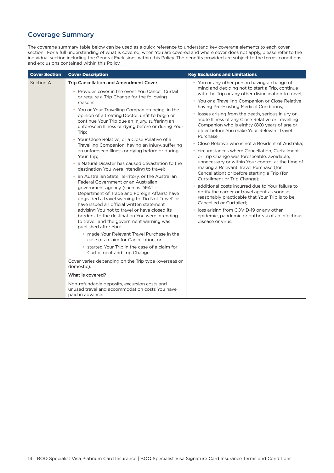# <span id="page-14-0"></span>Coverage Summary

The coverage summary table below can be used as a quick reference to understand key coverage elements to each cover section. For a full understanding of what is covered, when You are covered and where cover does not apply, please refer to the individual section including the General Exclusions within this Policy. The benefits provided are subject to the terms, conditions and exclusions contained within this Policy.

| <b>Cover Section</b> | <b>Cover Description</b>                                                                                                                                                                                                                                                                                                                                                                                                                                                                                                                                                                                                                                                                                                                                                                                                                                                                                                                                                                                                                                                                                                                                                                                                                                                                                                                                                                                                                                                                                     | <b>Key Exclusions and Limitations</b>                                                                                                                                                                                                                                                                                                                                                                                                                                                                                                                                                                                                                                                                                                                                                                                                                                                                                                                                                                                                                                                                                          |
|----------------------|--------------------------------------------------------------------------------------------------------------------------------------------------------------------------------------------------------------------------------------------------------------------------------------------------------------------------------------------------------------------------------------------------------------------------------------------------------------------------------------------------------------------------------------------------------------------------------------------------------------------------------------------------------------------------------------------------------------------------------------------------------------------------------------------------------------------------------------------------------------------------------------------------------------------------------------------------------------------------------------------------------------------------------------------------------------------------------------------------------------------------------------------------------------------------------------------------------------------------------------------------------------------------------------------------------------------------------------------------------------------------------------------------------------------------------------------------------------------------------------------------------------|--------------------------------------------------------------------------------------------------------------------------------------------------------------------------------------------------------------------------------------------------------------------------------------------------------------------------------------------------------------------------------------------------------------------------------------------------------------------------------------------------------------------------------------------------------------------------------------------------------------------------------------------------------------------------------------------------------------------------------------------------------------------------------------------------------------------------------------------------------------------------------------------------------------------------------------------------------------------------------------------------------------------------------------------------------------------------------------------------------------------------------|
| Section A            | Trip Cancellation and Amendment Cover<br>• Provides cover in the event You Cancel, Curtail<br>or require a Trip Change for the following<br>reasons:<br>• You or Your Travelling Companion being, in the<br>opinion of a treating Doctor, unfit to begin or<br>continue Your Trip due an Injury, suffering an<br>unforeseen Illness or dying before or during Your<br>Trip:<br>• Your Close Relative, or a Close Relative of a<br>Travelling Companion, having an Injury, suffering<br>an unforeseen Illness or dying before or during<br>Your Trip:<br>• a Natural Disaster has caused devastation to the<br>destination You were intending to travel;<br>• an Australian State, Territory, or the Australian<br>Federal Government or an Australian<br>government agency (such as DFAT -<br>Department of Trade and Foreign Affairs) have<br>upgraded a travel warning to 'Do Not Travel' or<br>have issued an official written statement<br>advising You not to travel or have closed its<br>borders, to the destination You were intending<br>to travel, and the government warning was<br>published after You:<br>. made Your Relevant Travel Purchase in the<br>case of a claim for Cancellation, or<br>• started Your Trip in the case of a claim for<br>Curtailment and Trip Change.<br>Cover varies depending on the Trip type (overseas or<br>domestic).<br>What is covered?<br>Non-refundable deposits, excursion costs and<br>unused travel and accommodation costs You have<br>paid in advance. | • You or any other person having a change of<br>mind and deciding not to start a Trip, continue<br>with the Trip or any other disinclination to travel;<br>• You or a Travelling Companion or Close Relative<br>having Pre-Existing Medical Conditions;<br>• losses arising from the death, serious injury or<br>acute Illness of any Close Relative or Travelling<br>Companion who is eighty (80) years of age or<br>older before You make Your Relevant Travel<br>Purchase:<br>• Close Relative who is not a Resident of Australia:<br>• circumstances where Cancellation, Curtailment<br>or Trip Change was foreseeable, avoidable,<br>unnecessary or within Your control at the time of<br>making a Relevant Travel Purchase (for<br>Cancellation) or before starting a Trip (for<br>Curtailment or Trip Change);<br>• additional costs incurred due to Your failure to<br>notify the carrier or travel agent as soon as<br>reasonably practicable that Your Trip is to be<br>Cancelled or Curtailed;<br>• loss arising from COVID-19 or any other<br>epidemic, pandemic or outbreak of an infectious<br>disease or virus. |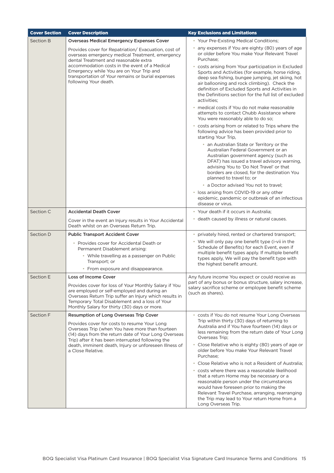| <b>Cover Section</b> | <b>Cover Description</b>                                                                                                                                                                                                                                                                                                   | <b>Key Exclusions and Limitations</b>                                                                                                                                                                                                                                                                          |
|----------------------|----------------------------------------------------------------------------------------------------------------------------------------------------------------------------------------------------------------------------------------------------------------------------------------------------------------------------|----------------------------------------------------------------------------------------------------------------------------------------------------------------------------------------------------------------------------------------------------------------------------------------------------------------|
| Section B            | <b>Overseas Medical Emergency Expenses Cover</b>                                                                                                                                                                                                                                                                           | • Your Pre-Existing Medical Conditions;                                                                                                                                                                                                                                                                        |
|                      | Provides cover for Repatriation/Evacuation, cost of<br>overseas emergency medical Treatment, emergency<br>dental Treatment and reasonable extra<br>accommodation costs in the event of a Medical<br>Emergency while You are on Your Trip and<br>transportation of Your remains or burial expenses<br>following Your death. | any expenses if You are eighty (80) years of age<br>or older before You make Your Relevant Travel<br>Purchase:<br>• costs arising from Your participation in Excluded                                                                                                                                          |
|                      |                                                                                                                                                                                                                                                                                                                            | Sports and Activities (for example, horse riding,<br>deep sea fishing, bungee jumping, jet skiing, hot<br>air ballooning and rock climbing). Check the<br>definition of Excluded Sports and Activities in<br>the Definitions section for the full list of excluded<br>activities:                              |
|                      |                                                                                                                                                                                                                                                                                                                            | • medical costs if You do not make reasonable<br>attempts to contact Chubb Assistance where<br>You were reasonably able to do so;                                                                                                                                                                              |
|                      |                                                                                                                                                                                                                                                                                                                            | • costs arising from or related to Trips where the<br>following advice has been provided prior to<br>starting Your Trip,                                                                                                                                                                                       |
|                      |                                                                                                                                                                                                                                                                                                                            | • an Australian State or Territory or the<br>Australian Federal Government or an<br>Australian government agency (such as<br>DFAT) has issued a travel advisory warning,<br>advising You to 'Do Not Travel' or that<br>borders are closed, for the destination You<br>planned to travel to; or                 |
|                      |                                                                                                                                                                                                                                                                                                                            | • a Doctor advised You not to travel;                                                                                                                                                                                                                                                                          |
|                      |                                                                                                                                                                                                                                                                                                                            | • loss arising from COVID-19 or any other<br>epidemic, pandemic or outbreak of an infectious<br>disease or virus.                                                                                                                                                                                              |
| Section C            | <b>Accidental Death Cover</b>                                                                                                                                                                                                                                                                                              | • Your death if it occurs in Australia;                                                                                                                                                                                                                                                                        |
|                      | Cover in the event an Injury results in Your Accidental<br>Death whilst on an Overseas Return Trip.                                                                                                                                                                                                                        | • death caused by illness or natural causes.                                                                                                                                                                                                                                                                   |
| Section D            | <b>Public Transport Accident Cover</b>                                                                                                                                                                                                                                                                                     | privately hired, rented or chartered transport;                                                                                                                                                                                                                                                                |
|                      | • Provides cover for Accidental Death or<br>Permanent Disablement arising:<br>• While travelling as a passenger on Public<br>Transport; or                                                                                                                                                                                 | • We will only pay one benefit type (i-vii in the<br>Schedule of Benefits) for each Event, even if<br>multiple benefit types apply. If multiple benefit<br>types apply, We will pay the benefit type with                                                                                                      |
|                      | • From exposure and disappearance.                                                                                                                                                                                                                                                                                         | the highest benefit amount.                                                                                                                                                                                                                                                                                    |
| Section E            | <b>Loss of Income Cover</b>                                                                                                                                                                                                                                                                                                | Any future income You expect or could receive as                                                                                                                                                                                                                                                               |
|                      | Provides cover for loss of Your Monthly Salary if You<br>are employed or self-employed and during an<br>Overseas Return Trip suffer an Injury which results in<br>Temporary Total Disablement and a loss of Your<br>Monthly Salary for thirty (30) days or more.                                                           | part of any bonus or bonus structure, salary increase,<br>salary sacrifice scheme or employee benefit scheme<br>(such as shares).                                                                                                                                                                              |
| Section F            | Resumption of Long Overseas Trip Cover                                                                                                                                                                                                                                                                                     | costs if You do not resume Your Long Overseas                                                                                                                                                                                                                                                                  |
|                      | Provides cover for costs to resume Your Long<br>Overseas Trip (when You have more than fourteen<br>(14) days from the return date of Your Long Overseas<br>Trip) after it has been interrupted following the<br>death, imminent death, Injury or unforeseen Illness of<br>a Close Relative.                                | Trip within thirty (30) days of returning to<br>Australia and if You have fourteen (14) days or<br>less remaining from the return date of Your Long<br>Overseas Trip;                                                                                                                                          |
|                      |                                                                                                                                                                                                                                                                                                                            | • Close Relative who is eighty (80) years of age or<br>older before You make Your Relevant Travel<br>Purchase;                                                                                                                                                                                                 |
|                      |                                                                                                                                                                                                                                                                                                                            | • Close Relative who is not a Resident of Australia;                                                                                                                                                                                                                                                           |
|                      |                                                                                                                                                                                                                                                                                                                            | • costs where there was a reasonable likelihood<br>that a return Home may be necessary or a<br>reasonable person under the circumstances<br>would have foreseen prior to making the<br>Relevant Travel Purchase, arranging, rearranging<br>the Trip may lead to Your return Home from a<br>Long Overseas Trip. |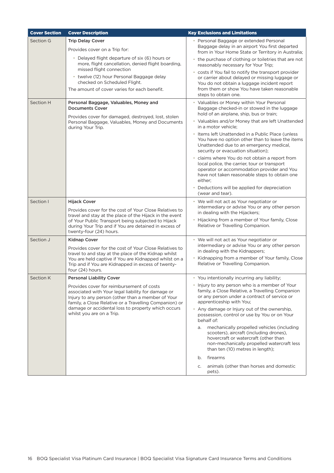| <b>Cover Section</b> | <b>Cover Description</b>                                                                                                                                                                                                                                                                          | <b>Key Exclusions and Limitations</b>                                                                                                                                                                                                                                                                                                                                                                                                                                                                                                                                                                                                                                                       |
|----------------------|---------------------------------------------------------------------------------------------------------------------------------------------------------------------------------------------------------------------------------------------------------------------------------------------------|---------------------------------------------------------------------------------------------------------------------------------------------------------------------------------------------------------------------------------------------------------------------------------------------------------------------------------------------------------------------------------------------------------------------------------------------------------------------------------------------------------------------------------------------------------------------------------------------------------------------------------------------------------------------------------------------|
| Section G            | <b>Trip Delay Cover</b><br>Provides cover on a Trip for:                                                                                                                                                                                                                                          | • Personal Baggage or extended Personal<br>Baggage delay in an airport You first departed                                                                                                                                                                                                                                                                                                                                                                                                                                                                                                                                                                                                   |
|                      | • Delayed flight departure of six (6) hours or                                                                                                                                                                                                                                                    | from in Your Home State or Territory in Australia;<br>• the purchase of clothing or toiletries that are not                                                                                                                                                                                                                                                                                                                                                                                                                                                                                                                                                                                 |
|                      | more, flight cancellation, denied flight boarding,<br>missed flight connection                                                                                                                                                                                                                    | reasonably necessary for Your Trip;                                                                                                                                                                                                                                                                                                                                                                                                                                                                                                                                                                                                                                                         |
|                      | • twelve (12) hour Personal Baggage delay<br>checked on Scheduled Flight.<br>The amount of cover varies for each benefit.                                                                                                                                                                         | • costs if You fail to notify the transport provider<br>or carrier about delayed or missing luggage or<br>You do not obtain a luggage incident report<br>from them or show You have taken reasonable<br>steps to obtain one.                                                                                                                                                                                                                                                                                                                                                                                                                                                                |
| <b>Section H</b>     | Personal Baggage, Valuables, Money and<br><b>Documents Cover</b><br>Provides cover for damaged, destroyed, lost, stolen<br>Personal Baggage, Valuables, Money and Documents<br>during Your Trip.                                                                                                  | • Valuables or Money within Your Personal<br>Baggage checked-in or stowed in the luggage<br>hold of an airplane, ship, bus or train;<br>• Valuables and/or Money that are left Unattended<br>in a motor vehicle;<br>• Items left Unattended in a Public Place (unless<br>You have no option other than to leave the items<br>Unattended due to an emergency medical,<br>security or evacuation situation);<br>• claims where You do not obtain a report from<br>local police, the carrier, tour or transport<br>operator or accommodation provider and You<br>have not taken reasonable steps to obtain one<br>either;<br>• Deductions will be applied for depreciation<br>(wear and tear). |
| Section I            | <b>Hijack Cover</b>                                                                                                                                                                                                                                                                               | • We will not act as Your negotiator or                                                                                                                                                                                                                                                                                                                                                                                                                                                                                                                                                                                                                                                     |
|                      | Provides cover for the cost of Your Close Relatives to<br>travel and stay at the place of the Hijack in the event<br>of Your Public Transport being subjected to Hijack<br>during Your Trip and if You are detained in excess of<br>twenty-four (24) hours.                                       | intermediary or advise You or any other person<br>in dealing with the Hijackers;<br>• Hijacking from a member of Your family, Close<br>Relative or Travelling Companion.                                                                                                                                                                                                                                                                                                                                                                                                                                                                                                                    |
| Section J            | <b>Kidnap Cover</b>                                                                                                                                                                                                                                                                               | • We will not act as Your negotiator or                                                                                                                                                                                                                                                                                                                                                                                                                                                                                                                                                                                                                                                     |
|                      | Provides cover for the cost of Your Close Relatives to<br>travel to and stay at the place of the Kidnap whilst<br>You are held captive if You are Kidnapped whilst on a<br>Trip and if You are Kidnapped in excess of twenty-<br>four (24) hours.                                                 | intermediary or advise You or any other person<br>in dealing with the Kidnappers;<br>Kidnapping from a member of Your family, Close<br>$\bullet$<br>Relative or Travelling Companion.                                                                                                                                                                                                                                                                                                                                                                                                                                                                                                       |
| <b>Section K</b>     | <b>Personal Liability Cover</b>                                                                                                                                                                                                                                                                   | • You intentionally incurring any liability;                                                                                                                                                                                                                                                                                                                                                                                                                                                                                                                                                                                                                                                |
|                      | Provides cover for reimbursement of costs<br>associated with Your legal liability for damage or<br>Injury to any person (other than a member of Your<br>family, a Close Relative or a Travelling Companion) or<br>damage or accidental loss to property which occurs<br>whilst you are on a Trip. | • Injury to any person who is a member of Your<br>family, a Close Relative, a Travelling Companion<br>or any person under a contract of service or<br>apprenticeship with You;<br>• Any damage or Injury out of the ownership,<br>possession, control or use by You or on Your<br>behalf of:<br>mechanically propelled vehicles (including<br>a.<br>scooters), aircraft (including drones),<br>hovercraft or watercraft (other than<br>non-mechanically propelled watercraft less<br>than ten (10) metres in length);                                                                                                                                                                       |
|                      |                                                                                                                                                                                                                                                                                                   | firearms<br>b.                                                                                                                                                                                                                                                                                                                                                                                                                                                                                                                                                                                                                                                                              |
|                      |                                                                                                                                                                                                                                                                                                   | animals (other than horses and domestic<br>C.<br>pets).                                                                                                                                                                                                                                                                                                                                                                                                                                                                                                                                                                                                                                     |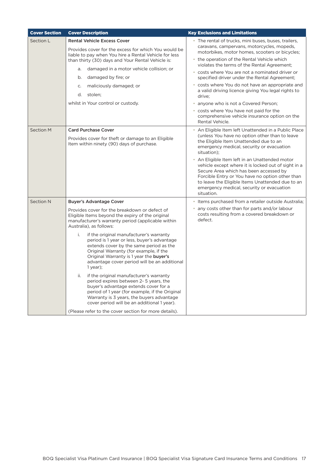| <b>Cover Section</b> | <b>Cover Description</b>                                                                                                                                                                                                                                                                                                                                                                                                                                                                                                                                                                                                                                                                                                                                                                                                                                     | <b>Key Exclusions and Limitations</b>                                                                                                                                                                                                                                                                                                                                                                                                                                                                                                                                                                                             |
|----------------------|--------------------------------------------------------------------------------------------------------------------------------------------------------------------------------------------------------------------------------------------------------------------------------------------------------------------------------------------------------------------------------------------------------------------------------------------------------------------------------------------------------------------------------------------------------------------------------------------------------------------------------------------------------------------------------------------------------------------------------------------------------------------------------------------------------------------------------------------------------------|-----------------------------------------------------------------------------------------------------------------------------------------------------------------------------------------------------------------------------------------------------------------------------------------------------------------------------------------------------------------------------------------------------------------------------------------------------------------------------------------------------------------------------------------------------------------------------------------------------------------------------------|
| Section L            | <b>Rental Vehicle Excess Cover</b><br>Provides cover for the excess for which You would be<br>liable to pay when You hire a Rental Vehicle for less<br>than thirty (30) days and Your Rental Vehicle is:<br>damaged in a motor vehicle collision; or<br>a.<br>damaged by fire; or<br>b.<br>maliciously damaged; or<br>C.<br>d. stolen;<br>whilst in Your control or custody.                                                                                                                                                                                                                                                                                                                                                                                                                                                                                 | • The rental of trucks, mini buses, buses, trailers,<br>caravans, campervans, motorcycles, mopeds,<br>motorbikes, motor homes, scooters or bicycles;<br>• the operation of the Rental Vehicle which<br>violates the terms of the Rental Agreement;<br>• costs where You are not a nominated driver or<br>specified driver under the Rental Agreement;<br>• costs where You do not have an appropriate and<br>a valid driving licence giving You legal rights to<br>drive;<br>• anyone who is not a Covered Person;<br>• costs where You have not paid for the<br>comprehensive vehicle insurance option on the<br>Rental Vehicle. |
| <b>Section M</b>     | <b>Card Purchase Cover</b><br>Provides cover for theft or damage to an Eligible<br>Item within ninety (90) days of purchase.                                                                                                                                                                                                                                                                                                                                                                                                                                                                                                                                                                                                                                                                                                                                 | • An Eligible Item left Unattended in a Public Place<br>(unless You have no option other than to leave<br>the Eligible Item Unattended due to an<br>emergency medical, security or evacuation<br>situation);<br>• An Eligible Item left in an Unattended motor<br>vehicle except where it is locked out of sight in a<br>Secure Area which has been accessed by<br>Forcible Entry or You have no option other than<br>to leave the Eligible Items Unattended due to an<br>emergency medical, security or evacuation<br>situation.                                                                                                 |
| <b>Section N</b>     | <b>Buyer's Advantage Cover</b><br>Provides cover for the breakdown or defect of<br>Eligible Items beyond the expiry of the original<br>manufacturer's warranty period (applicable within<br>Australia), as follows:<br>i.<br>if the original manufacturer's warranty<br>period is 1 year or less, buyer's advantage<br>extends cover by the same period as the<br>Original Warranty (for example, if the<br>Original Warranty is 1 year the buyer's<br>advantage cover period will be an additional<br>$1$ year);<br>if the original manufacturer's warranty<br>ii.<br>period expires between 2-5 years, the<br>buyer's advantage extends cover for a<br>period of 1 year (for example, if the Original<br>Warranty is 3 years, the buyers advantage<br>cover period will be an additional 1 year).<br>(Please refer to the cover section for more details). | • Items purchased from a retailer outside Australia;<br>• any costs other than for parts and/or labour<br>costs resulting from a covered breakdown or<br>defect.                                                                                                                                                                                                                                                                                                                                                                                                                                                                  |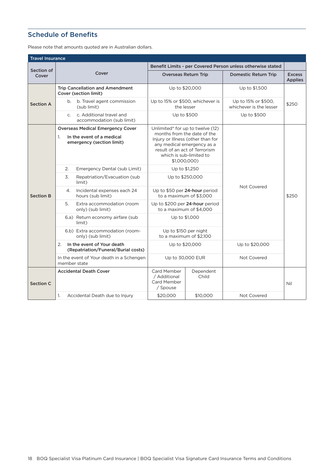# <span id="page-18-0"></span>Schedule of Benefits

Please note that amounts quoted are in Australian dollars.

| <b>Travel Insurance</b> |                                                                                                         |                                                                                                                                                                                                                |                    |                                                             |                                 |  |
|-------------------------|---------------------------------------------------------------------------------------------------------|----------------------------------------------------------------------------------------------------------------------------------------------------------------------------------------------------------------|--------------------|-------------------------------------------------------------|---------------------------------|--|
| Section of              |                                                                                                         |                                                                                                                                                                                                                |                    | Benefit Limits - per Covered Person unless otherwise stated |                                 |  |
| Cover                   | Cover                                                                                                   | <b>Overseas Return Trip</b>                                                                                                                                                                                    |                    | <b>Domestic Return Trip</b>                                 | <b>Excess</b><br><b>Applies</b> |  |
|                         | <b>Trip Cancellation and Amendment</b><br>Cover (section limit)                                         | Up to \$20,000                                                                                                                                                                                                 |                    | Up to \$1,500                                               |                                 |  |
| <b>Section A</b>        | b. Travel agent commission<br>b.<br>(sub limit)                                                         | Up to 15% or \$500, whichever is<br>the lesser                                                                                                                                                                 |                    | Up to 15% or \$500,<br>whichever is the lesser              | \$250                           |  |
|                         | c. Additional travel and<br>$C_{1}$<br>accommodation (sub limit)                                        | Up to \$500                                                                                                                                                                                                    |                    | Up to \$500                                                 |                                 |  |
|                         | <b>Overseas Medical Emergency Cover</b><br>1.<br>In the event of a medical<br>emergency (section limit) | Unlimited* for up to twelve (12)<br>months from the date of the<br>Injury or Illness (other than for<br>any medical emergency as a<br>result of an act of Terrorism<br>which is sub-limited to<br>\$1,000,000) |                    |                                                             |                                 |  |
| <b>Section B</b>        | 2.<br>Emergency Dental (sub Limit)                                                                      | Up to \$1,250                                                                                                                                                                                                  |                    | Not Covered                                                 | \$250                           |  |
|                         | 3.<br>Repatriation/Evacuation (sub<br>limit)                                                            | Up to \$250,000                                                                                                                                                                                                |                    |                                                             |                                 |  |
|                         | Incidental expenses each 24<br>4.<br>hours (sub limit)                                                  | Up to \$50 per 24-hour period<br>to a maximum of \$3,000                                                                                                                                                       |                    |                                                             |                                 |  |
|                         | 5.<br>Extra accommodation (room<br>only) (sub limit)                                                    | Up to \$200 per 24-hour period<br>to a maximum of \$4,000                                                                                                                                                      |                    |                                                             |                                 |  |
|                         | 6.a) Return economy airfare (sub<br>limit)                                                              | Up to \$1,000                                                                                                                                                                                                  |                    |                                                             |                                 |  |
|                         | 6.b) Extra accommodation (room-<br>only) (sub limit)                                                    | Up to \$150 per night<br>to a maximum of \$2.100                                                                                                                                                               |                    |                                                             |                                 |  |
|                         | In the event of Your death<br>2.<br>Up to \$20,000<br>(Repatriation/Funeral/Burial costs)               |                                                                                                                                                                                                                |                    | Up to \$20,000                                              |                                 |  |
|                         | In the event of Your death in a Schengen<br>member state                                                | Up to 30,000 EUR                                                                                                                                                                                               |                    | Not Covered                                                 |                                 |  |
| <b>Section C</b>        | <b>Accidental Death Cover</b>                                                                           | Card Member<br>/ Additional<br><b>Card Member</b><br>/ Spouse                                                                                                                                                  | Dependent<br>Child |                                                             | Nil                             |  |
|                         | 1.<br>Accidental Death due to Injury                                                                    | \$20,000                                                                                                                                                                                                       | \$10,000           | Not Covered                                                 |                                 |  |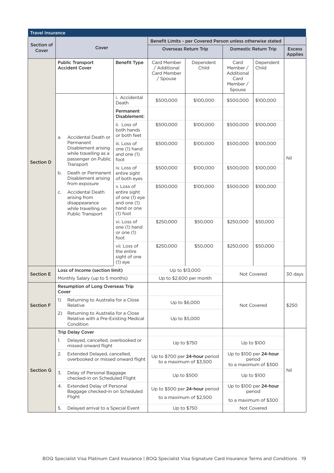| <b>Travel Insurance</b> |                                                                                                                            |                                                                                          |                                                               |                    |                                                              |                                   |                                 |
|-------------------------|----------------------------------------------------------------------------------------------------------------------------|------------------------------------------------------------------------------------------|---------------------------------------------------------------|--------------------|--------------------------------------------------------------|-----------------------------------|---------------------------------|
| Section of              |                                                                                                                            |                                                                                          | Benefit Limits - per Covered Person unless otherwise stated   |                    |                                                              |                                   |                                 |
| Cover                   | Cover                                                                                                                      |                                                                                          | <b>Overseas Return Trip</b>                                   |                    |                                                              | <b>Domestic Return Trip</b>       | <b>Excess</b><br><b>Applies</b> |
|                         | <b>Public Transport</b><br><b>Accident Cover</b>                                                                           | <b>Benefit Type</b>                                                                      | <b>Card Member</b><br>/ Additional<br>Card Member<br>/ Spouse | Dependent<br>Child | Card<br>Member /<br>Additional<br>Card<br>Member /<br>Spouse | Dependent<br>Child                |                                 |
|                         |                                                                                                                            | i. Accidental<br>Death                                                                   | \$500,000                                                     | \$100,000          | \$500,000                                                    | \$100,000                         |                                 |
|                         |                                                                                                                            | Permanent<br>Disablement:                                                                |                                                               |                    |                                                              |                                   |                                 |
|                         | Accidental Death or<br>a.                                                                                                  | ii. Loss of<br>both hands<br>or both feet                                                | \$500,000                                                     | \$100,000          | \$500,000                                                    | \$100,000                         |                                 |
| <b>Section D</b>        | Permanent<br>Disablement arising<br>while travelling as a<br>passenger on Public                                           | iii. Loss of<br>one (1) hand<br>and one (1)<br>foot                                      | \$500,000                                                     | \$100,000          | \$500,000                                                    | \$100,000                         | Nil                             |
|                         | Transport<br>b.<br>Death or Permanent<br>Disablement arising                                                               | iv. Loss of<br>entire sight<br>of both eyes                                              | \$500,000                                                     | \$100,000          | \$500,000                                                    | \$100,000                         |                                 |
|                         | from exposure<br><b>Accidental Death</b><br>C.<br>arising from<br>disappearance<br>while travelling on<br>Public Transport | v. Loss of<br>entire sight<br>of one (1) eye<br>and one (1)<br>hand or one<br>$(1)$ foot | \$500,000                                                     | \$100,000          | \$500,000                                                    | \$100,000                         |                                 |
|                         |                                                                                                                            | vi. Loss of<br>one (1) hand<br>or one $(1)$<br>foot                                      | \$250,000                                                     | \$50,000           | \$250,000                                                    | \$50,000                          |                                 |
|                         |                                                                                                                            | vii. Loss of<br>the entire<br>sight of one<br>$(1)$ eye                                  | \$250,000                                                     | \$50,000           | \$250,000                                                    | \$50,000                          |                                 |
| <b>Section E</b>        | Loss of Income (section limit)                                                                                             |                                                                                          | Up to \$13,000                                                |                    |                                                              |                                   | 30 days                         |
|                         | Monthly Salary (up to 5 months)                                                                                            |                                                                                          | Up to \$2,600 per month                                       |                    |                                                              | Not Covered                       |                                 |
|                         | Resumption of Long Overseas Trip<br>Cover                                                                                  |                                                                                          |                                                               |                    |                                                              |                                   |                                 |
| <b>Section F</b>        | $\left( \right)$<br>Returning to Australia for a Close<br>Relative                                                         |                                                                                          | Up to \$6,000                                                 |                    |                                                              | Not Covered                       | \$250                           |
|                         | Returning to Australia for a Close<br>(2)<br>Relative with a Pre-Existing Medical<br>Condition                             |                                                                                          | Up to \$5,000                                                 |                    |                                                              |                                   |                                 |
|                         | <b>Trip Delay Cover</b>                                                                                                    |                                                                                          |                                                               |                    |                                                              |                                   |                                 |
|                         | Delayed, cancelled, overbooked or<br>1.<br>missed onward flight                                                            |                                                                                          | Up to \$750                                                   |                    |                                                              | Up to \$100                       |                                 |
|                         | 2.<br>Extended Delayed, cancelled,<br>overbooked or missed onward flight                                                   |                                                                                          | Up to \$700 per 24-hour period<br>to a maximum of \$3,500     |                    | Up to \$100 per 24-hour<br>period<br>to a maximum of \$300   |                                   |                                 |
| <b>Section G</b>        | 3.<br>Delay of Personal Baggage<br>checked-in on Scheduled Flight                                                          |                                                                                          | Up to \$500                                                   |                    |                                                              | Up to \$100                       | Nil                             |
|                         | <b>Extended Delay of Personal</b><br>4.<br>Baggage checked-in on Scheduled<br>Flight                                       |                                                                                          | Up to \$500 per 24-hour period                                |                    |                                                              | Up to \$100 per 24-hour<br>period |                                 |
|                         |                                                                                                                            |                                                                                          | to a maximum of \$2,500                                       |                    | to a maximum of \$300                                        |                                   |                                 |
|                         | Delayed arrival to a Special Event<br>5.                                                                                   |                                                                                          | Up to \$750                                                   |                    |                                                              | Not Covered                       |                                 |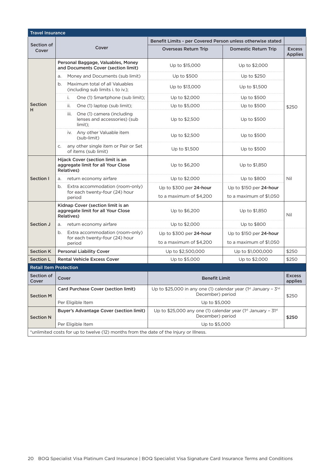| <b>Travel Insurance</b>                                                               |                                                                                       |                                                                                                 |                             |                                 |  |  |
|---------------------------------------------------------------------------------------|---------------------------------------------------------------------------------------|-------------------------------------------------------------------------------------------------|-----------------------------|---------------------------------|--|--|
|                                                                                       |                                                                                       | Benefit Limits - per Covered Person unless otherwise stated                                     |                             |                                 |  |  |
| Section of<br>Cover                                                                   | Cover                                                                                 | <b>Overseas Return Trip</b>                                                                     | <b>Domestic Return Trip</b> | <b>Excess</b><br><b>Applies</b> |  |  |
|                                                                                       | Personal Baggage, Valuables, Money<br>and Documents Cover (section limit)             | Up to \$15,000                                                                                  | Up to \$2,000               |                                 |  |  |
|                                                                                       | Money and Documents (sub limit)<br>a.                                                 | Up to \$500                                                                                     | Up to \$250                 |                                 |  |  |
|                                                                                       | Maximum total of all Valuables<br>b.<br>(including sub limits i. to iv.);             | Up to \$13,000                                                                                  | Up to \$1,500               |                                 |  |  |
|                                                                                       | i.<br>One (1) Smartphone (sub limit);                                                 | Up to \$2,000                                                                                   | Up to \$500                 |                                 |  |  |
| Section<br>н                                                                          | ii.<br>One (1) laptop (sub limit);                                                    | Up to \$5,000                                                                                   | Up to \$500                 | \$250                           |  |  |
|                                                                                       | iii.<br>One (1) camera (including<br>lenses and accessories) (sub<br>limit);          | Up to \$2,500                                                                                   | Up to \$500                 |                                 |  |  |
|                                                                                       | iv. Any other Valuable item<br>(sub-limit)                                            | Up to \$2,500                                                                                   | Up to \$500                 |                                 |  |  |
|                                                                                       | any other single item or Pair or Set<br>C.<br>of items (sub limit)                    | Up to \$1,500                                                                                   | Up to \$500                 |                                 |  |  |
|                                                                                       | Hijack Cover (section limit is an<br>aggregate limit for all Your Close<br>Relatives) | Up to \$6,200                                                                                   | Up to \$1,850               |                                 |  |  |
| Section I                                                                             | return economy airfare<br>a.                                                          | Up to \$2,000                                                                                   | Up to \$800                 | Nil                             |  |  |
|                                                                                       | Extra accommodation (room-only)<br>b.<br>for each twenty-four (24) hour               | Up to \$300 per 24-hour                                                                         | Up to \$150 per 24-hour     |                                 |  |  |
|                                                                                       | period                                                                                | to a maximum of \$4,200                                                                         | to a maximum of \$1,050     |                                 |  |  |
|                                                                                       | Kidnap Cover (section limit is an<br>aggregate limit for all Your Close<br>Relatives) | Up to \$6,200                                                                                   | Up to \$1,850               | Nil                             |  |  |
| Section J                                                                             | return economy airfare<br>a.                                                          | Up to \$2,000                                                                                   | Up to \$800                 |                                 |  |  |
|                                                                                       | b.<br>Extra accommodation (room-only)                                                 | Up to \$300 per 24-hour                                                                         | Up to $$150$ per 24-hour    |                                 |  |  |
|                                                                                       | for each twenty-four (24) hour<br>period                                              | to a maximum of \$4,200                                                                         | to a maximum of \$1,050     |                                 |  |  |
| <b>Section K</b>                                                                      | <b>Personal Liability Cover</b>                                                       | Up to \$2,500,000                                                                               | Up to \$1,000,000           | \$250                           |  |  |
| <b>Section L</b>                                                                      | <b>Rental Vehicle Excess Cover</b>                                                    | Up to \$5,000                                                                                   | Up to \$2,000               | \$250                           |  |  |
| <b>Retail Item Protection</b>                                                         |                                                                                       |                                                                                                 |                             |                                 |  |  |
| Section of<br>Cover                                                                   | Cover                                                                                 | <b>Benefit Limit</b>                                                                            |                             | <b>Excess</b><br>applies        |  |  |
| <b>Section M</b>                                                                      | <b>Card Purchase Cover (section limit)</b>                                            | Up to \$25,000 in any one (1) calendar year (1st January - $3^{\text{1st}}$<br>December) period |                             | \$250                           |  |  |
|                                                                                       | Per Eligible Item                                                                     | Up to \$5,000                                                                                   |                             |                                 |  |  |
| <b>Section N</b>                                                                      | <b>Buyer's Advantage Cover (section limit)</b>                                        | Up to \$25,000 any one (1) calendar year ( $1st$ January - 31st<br>December) period             |                             | \$250                           |  |  |
|                                                                                       | Per Eligible Item                                                                     | Up to \$5,000                                                                                   |                             |                                 |  |  |
| *unlimited costs for up to twelve (12) months from the date of the Injury or Illness. |                                                                                       |                                                                                                 |                             |                                 |  |  |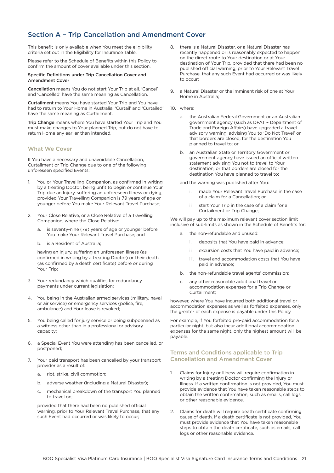# <span id="page-21-0"></span>Section A – Trip Cancellation and Amendment Cover

This benefit is only available when You meet the eligibility criteria set out in the Eligibility for Insurance Table.

Please refer to the Schedule of Benefits within this Policy to confirm the amount of cover available under this section.

#### Specific Definitions under Trip Cancellation Cover and Amendment Cover

Cancellation means You do not start Your Trip at all. 'Cancel' and 'Cancelled' have the same meaning as Cancellation.

Curtailment means You have started Your Trip and You have had to return to Your Home in Australia. 'Curtail' and 'Curtailed' have the same meaning as Curtailment.

Trip Change means where You have started Your Trip and You must make changes to Your planned Trip, but do not have to return Home any earlier than intended.

## What We Cover

If You have a necessary and unavoidable Cancellation, Curtailment or Trip Change due to one of the following unforeseen specified Events:

- 1. You or Your Travelling Companion, as confirmed in writing by a treating Doctor, being unfit to begin or continue Your Trip due an Injury, suffering an unforeseen Illness or dying, provided Your Travelling Companion is 79 years of age or younger before You make Your Relevant Travel Purchase;
- 2. Your Close Relative, or a Close Relative of a Travelling Companion, where the Close Relative:
	- a. is seventy-nine (79) years of age or younger before You make Your Relevant Travel Purchase; and
	- b. is a Resident of Australia;

having an Injury, suffering an unforeseen Illness (as confirmed in writing by a treating Doctor) or their death (as confirmed by a death certificate) before or during Your Trip;

- 3. Your redundancy which qualifies for redundancy payments under current legislation;
- 4. You being in the Australian armed services (military, naval or air service) or emergency services (police, fire, ambulance) and Your leave is revoked;
- 5. You being called for jury service or being subpoenaed as a witness other than in a professional or advisory capacity;
- 6. a Special Event You were attending has been cancelled, or postponed;
- 7. Your paid transport has been cancelled by your transport provider as a result of:
	- a. riot, strike, civil commotion;
	- b. adverse weather (including a Natural Disaster);
	- c. mechanical breakdown of the transport You planned to travel on;

provided that there had been no published official warning, prior to Your Relevant Travel Purchase, that any such Event had occurred or was likely to occur;

- 8. there is a Natural Disaster, or a Natural Disaster has recently happened or is reasonably expected to happen on the direct route to Your destination or at Your destination of Your Trip, provided that there had been no published official warning, prior to Your Relevant Travel Purchase, that any such Event had occurred or was likely to occur;
- 9. a Natural Disaster or the imminent risk of one at Your Home in Australia;
- 10. where:
	- a. the Australian Federal Government or an Australian government agency (such as DFAT – Department of Trade and Foreign Affairs) have upgraded a travel advisory warning, advising You to 'Do Not Travel' or that borders are closed, for the destination You planned to travel to; or
	- b. an Australian State or Territory Government or government agency have issued an official written statement advising You not to travel to Your destination, or that borders are closed for the destination You have planned to travel to;

and the warning was published after You:

- i. made Your Relevant Travel Purchase in the case of a claim for a Cancellation; or
- ii. start Your Trip in the case of a claim for a Curtailment or Trip Change;

We will pay up to the maximum relevant cover section limit inclusive of sub-limits as shown in the Schedule of Benefits for:

- a. the non-refundable and unused:
	- i. deposits that You have paid in advance;
	- ii. excursion costs that You have paid in advance;
	- iii. travel and accommodation costs that You have paid in advance;
- b. the non-refundable travel agents' commission;
- c. any other reasonable additional travel or accommodation expenses for a Trip Change or Curtailment;

however, where You have incurred both additional travel or accommodation expenses as well as forfeited expenses, only the greater of each expense is payable under this Policy.

For example, if You forfeited pre-paid accommodation for a particular night, but also incur additional accommodation expenses for the same night, only the highest amount will be payable.

## Terms and Conditions applicable to Trip Cancellation and Amendment Cover

- 1. Claims for Injury or Illness will require confirmation in writing by a treating Doctor confirming the Injury or Illness. If a written confirmation is not provided, You must provide evidence that You have taken reasonable steps to obtain the written confirmation, such as emails, call logs or other reasonable evidence.
- 2. Claims for death will require death certificate confirming cause of death. If a death certificate is not provided, You must provide evidence that You have taken reasonable steps to obtain the death certificate, such as emails, call logs or other reasonable evidence.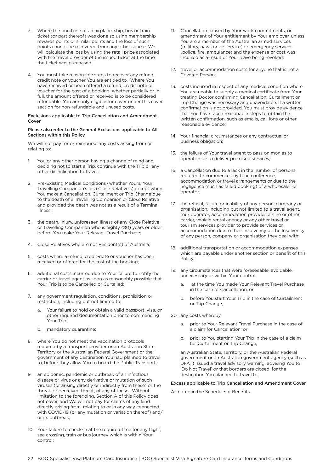- 3. Where the purchase of an airplane, ship, bus or train ticket (or part thereof) was done so using membership rewards points or similar points and the loss of such points cannot be recovered from any other source, We will calculate the loss by using the retail price associated with the travel provider of the issued ticket at the time the ticket was purchased.
- 4. You must take reasonable steps to recover any refund, credit note or voucher You are entitled to. Where You have received or been offered a refund, credit note or voucher for the cost of a booking, whether partially or in full, the amount offered or received is to be considered refundable. You are only eligible for cover under this cover section for non-refundable and unused costs.

#### Exclusions applicable to Trip Cancellation and Amendment Cover

#### Please also refer to the General Exclusions applicable to All Sections within this Policy

We will not pay for or reimburse any costs arising from or relating to:

- 1. You or any other person having a change of mind and deciding not to start a Trip, continue with the Trip or any other disinclination to travel;
- 2. Pre-Existing Medical Conditions (whether Yours, Your Travelling Companion's or a Close Relative's) except when You make a Cancellation, Curtailment or Trip Change due to the death of a Travelling Companion or Close Relative and provided the death was not as a result of a Terminal Illness;
- 3. the death, Injury, unforeseen Illness of any Close Relative or Travelling Companion who is eighty (80) years or older before You make Your Relevant Travel Purchase;
- 4. Close Relatives who are not Resident(s) of Australia;
- 5. costs where a refund, credit-note or voucher has been received or offered for the cost of the booking;
- 6. additional costs incurred due to Your failure to notify the carrier or travel agent as soon as reasonably possible that Your Trip is to be Cancelled or Curtailed;
- 7. any government regulation, conditions, prohibition or restriction, including but not limited to:
	- Your failure to hold or obtain a valid passport, visa, or other required documentation prior to commencing Your Trip;
	- b. mandatory quarantine;
- 8. where You do not meet the vaccination protocols required by a transport provider or an Australian State, Territory or the Australian Federal Government or the government of any destination You had planned to travel to, before they allow You to board the Public Transport;
- 9. an epidemic, pandemic or outbreak of an infectious disease or virus or any derivative or mutation of such viruses (or arising directly or indirectly from these) or the threat, or perceived threat, of any of these. Without limitation to the foregoing, Section A of this Policy does not cover, and We will not pay for claims of any kind directly arising from, relating to or in any way connected with COVID-19 (or any mutation or variation thereof) and/ or its outbreak;
- 10. Your failure to check-in at the required time for any flight. sea crossing, train or bus journey which is within Your control;
- 11. Cancellation caused by Your work commitments, or amendment of Your entitlement by Your employer, unless You are a member of the Australian armed services (military, naval or air service) or emergency services (police, fire, ambulance) and the expense or cost was incurred as a result of Your leave being revoked;
- 12. travel or accommodation costs for anyone that is not a Covered Person;
- 13. costs incurred in respect of any medical condition where You are unable to supply a medical certificate from Your treating Doctor confirming Cancellation, Curtailment or Trip Change was necessary and unavoidable. If a written confirmation is not provided, You must provide evidence that You have taken reasonable steps to obtain the written confirmation, such as emails, call logs or other reasonable evidence;
- 14. Your financial circumstances or any contractual or business obligation;
- 15. the failure of Your travel agent to pass on monies to operators or to deliver promised services;
- 16. a Cancellation due to a lack in the number of persons required to commence any tour, conference, accommodation or travel arrangements or due to the negligence (such as failed booking) of a wholesaler or operator;
- 17. the refusal, failure or inability of any person, company or organisation, including but not limited to a travel agent, tour operator, accommodation provider, airline or other carrier, vehicle rental agency or any other travel or tourism services provider to provide services or accommodation due to their Insolvency or the Insolvency of any person, company or organisation they deal with;
- 18. additional transportation or accommodation expenses which are payable under another section or benefit of this Policy;
- 19. any circumstances that were foreseeable, avoidable, unnecessary or within Your control:
	- a. at the time You made Your Relevant Travel Purchase in the case of Cancellation, or
	- b. before You start Your Trip in the case of Curtailment or Trip Change;
- 20. any costs whereby,
	- a. prior to Your Relevant Travel Purchase in the case of a claim for Cancellation; or
	- b. prior to You starting Your Trip in the case of a claim for Curtailment or Trip Change,

an Australian State, Territory, or the Australian Federal government or an Australian government agency (such as DFAT) issued a travel advisory warning, advising You to 'Do Not Travel' or that borders are closed, for the destination You planned to travel to.

## Excess applicable to Trip Cancellation and Amendment Cover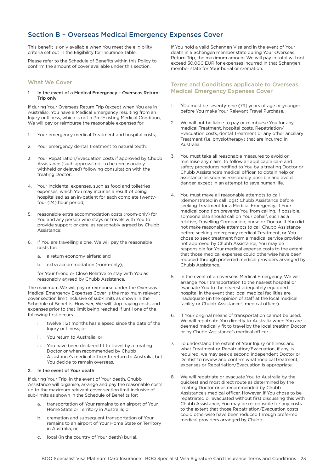# <span id="page-23-0"></span>Section B – Overseas Medical Emergency Expenses Cover

This benefit is only available when You meet the eligibility criteria set out in the Eligibility for Insurance Table.

Please refer to the Schedule of Benefits within this Policy to confirm the amount of cover available under this section.

## What We Cover

#### 1. In the event of a Medical Emergency – Overseas Return Trip only

If during Your Overseas Return Trip (except when You are in Australia), You have a Medical Emergency resulting from an Injury or Illness, which is not a Pre-Existing Medical Condition, We will pay or reimburse the reasonable expenses for:

- 1. Your emergency medical Treatment and hospital costs;
- 2. Your emergency dental Treatment to natural teeth;
- 3. Your Repatriation/Evacuation costs if approved by Chubb Assistance (such approval not to be unreasonably withheld or delayed) following consultation with the treating Doctor;
- 4. Your incidental expenses, such as food and toiletries expenses, which You may incur as a result of being hospitalised as an in-patient for each complete twentyfour (24) hour period;
- 5. reasonable extra accommodation costs (room-only) for You and any person who stays or travels with You to provide support or care, as reasonably agreed by Chubb Assistance;
- 6. if You are travelling alone, We will pay the reasonable costs for:
	- a. a return economy airfare; and
	- b. extra accommodation (room-only);

for Your friend or Close Relative to stay with You as reasonably agreed by Chubb Assistance.

The maximum We will pay or reimburse under the Overseas Medical Emergency Expenses Cover is the maximum relevant cover section limit inclusive of sub-limits as shown in the Schedule of Benefits. However, We will stop paying costs and expenses prior to that limit being reached if until one of the following first occurs

- i. twelve (12) months has elapsed since the date of the Injury or Illness; or
- ii. You return to Australia; or
- iii. You have been declared fit to travel by a treating Doctor or when recommended by Chubb Assistance's medical officer to return to Australia, but You decide to remain overseas.

### 2. In the event of Your death

If during Your Trip, in the event of Your death, Chubb Assistance will organise, arrange and pay the reasonable costs up to the maximum relevant cover section limit inclusive of sub-limits as shown in the Schedule of Benefits for:

- a. transportation of Your remains to an airport of Your Home State or Territory in Australia; or
- b. cremation and subsequent transportation of Your remains to an airport of Your Home State or Territory in Australia; or
- c. local (in the country of Your death) burial.

If You hold a valid Schengen Visa and in the event of Your death in a Schengen member state during Your Overseas Return Trip, the maximum amount We will pay in total will not exceed 30,000 EUR for expenses incurred in that Schengen member state for Your burial or cremation.

## Terms and Conditions applicable to Overseas Medical Emergency Expenses Cover

- 1. You must be seventy-nine (79) years of age or younger before You make Your Relevant Travel Purchase.
- We will not be liable to pay or reimburse You for any medical Treatment, hospital costs, Repatriation/ Evacuation costs, dental Treatment or any other ancillary Treatment (i.e. physiotherapy) that are incurred in Australia.
- 3. You must take all reasonable measures to avoid or minimise any claim, to follow all applicable care and safety procedures notified to You by a treating Doctor or Chubb Assistance's medical officer, to obtain help or assistance as soon as reasonably possible and avoid danger, except in an attempt to save human life.
- 4. You must make all reasonable attempts to call (demonstrated in call logs) Chubb Assistance before seeking Treatment for a Medical Emergency. If Your medical condition prevents You from calling, if possible, someone else should call on Your behalf, such as a relative, Travelling Companion, nurse or Doctor. If You did not make reasonable attempts to call Chubb Assistance before seeking emergency medical Treatment, or You chose to seek treatment from a medical service provider not approved by Chubb Assistance, You may be responsible for Your medical expense costs to the extent that those medical expenses could otherwise have been reduced through preferred medical providers arranged by Chubb Assistance.
- 5. In the event of an overseas Medical Emergency, We will arrange Your transportation to the nearest hospital or evacuate You to the nearest adequately equipped hospital in the event that local medical facilities are inadequate (in the opinion of staff at the local medical facility or Chubb Assistance's medical officer).
- 6. If Your original means of transportation cannot be used, We will repatriate You directly to Australia when You are deemed medically fit to travel by the local treating Doctor or by Chubb Assistance's medical officer.
- To understand the extent of Your Injury or Illness and what Treatment or Repatriation/Evacuation, if any, is required, we may seek a second independent Doctor or Dentist to review and confirm what medical treatment, expenses or Repatriation/Evacuation is appropriate.
- We will repatriate or evacuate You to Australia by the quickest and most direct route as determined by the treating Doctor or as recommended by Chubb Assistance's medical officer. However, if You chose to be repatriated or evacuated without first discussing this with Chubb Assistance, You may be responsible for any costs to the extent that those Repatriation/Evacuation costs could otherwise have been reduced through preferred medical providers arranged by Chubb.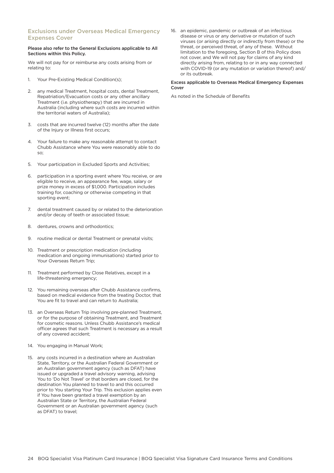## Exclusions under Overseas Medical Emergency Expenses Cover

#### Please also refer to the General Exclusions applicable to All Sections within this Policy.

We will not pay for or reimburse any costs arising from or relating to:

- 1. Your Pre-Existing Medical Condition(s);
- 2. any medical Treatment, hospital costs, dental Treatment, Repatriation/Evacuation costs or any other ancillary Treatment (i.e. physiotherapy) that are incurred in Australia (including where such costs are incurred within the territorial waters of Australia);
- 3. costs that are incurred twelve (12) months after the date of the Injury or Illness first occurs;
- 4. Your failure to make any reasonable attempt to contact Chubb Assistance where You were reasonably able to do so;
- 5. Your participation in Excluded Sports and Activities;
- 6. participation in a sporting event where You receive, or are eligible to receive, an appearance fee, wage, salary or prize money in excess of \$1,000. Participation includes training for, coaching or otherwise competing in that sporting event;
- 7. dental treatment caused by or related to the deterioration and/or decay of teeth or associated tissue;
- 8. dentures, crowns and orthodontics;
- 9. routine medical or dental Treatment or prenatal visits;
- 10. Treatment or prescription medication (including medication and ongoing immunisations) started prior to Your Overseas Return Trip;
- 11. Treatment performed by Close Relatives, except in a life-threatening emergency;
- 12. You remaining overseas after Chubb Assistance confirms, based on medical evidence from the treating Doctor, that You are fit to travel and can return to Australia;
- 13. an Overseas Return Trip involving pre-planned Treatment, or for the purpose of obtaining Treatment, and Treatment for cosmetic reasons. Unless Chubb Assistance's medical officer agrees that such Treatment is necessary as a result of any covered accident;
- 14. You engaging in Manual Work;
- 15. any costs incurred in a destination where an Australian State, Territory, or the Australian Federal Government or an Australian government agency (such as DFAT) have issued or upgraded a travel advisory warning, advising You to 'Do Not Travel' or that borders are closed, for the destination You planned to travel to and this occurred prior to You starting Your Trip. This exclusion applies even if You have been granted a travel exemption by an Australian State or Territory, the Australian Federal Government or an Australian government agency (such as DFAT) to travel;

16. an epidemic, pandemic or outbreak of an infectious disease or virus or any derivative or mutation of such viruses (or arising directly or indirectly from these) or the threat, or perceived threat, of any of these. Without limitation to the foregoing, Section B of this Policy does not cover, and We will not pay for claims of any kind directly arising from, relating to or in any way connected with COVID-19 (or any mutation or variation thereof) and/ or its outbreak.

#### Excess applicable to Overseas Medical Emergency Expenses Cover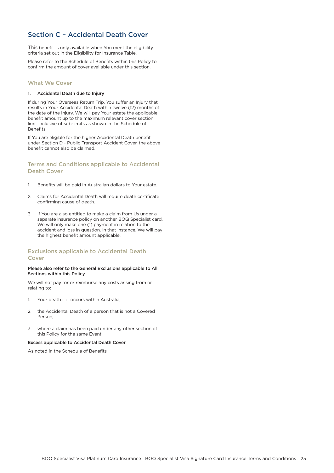# <span id="page-25-0"></span>Section C – Accidental Death Cover

This benefit is only available when You meet the eligibility criteria set out in the Eligibility for Insurance Table.

Please refer to the Schedule of Benefits within this Policy to confirm the amount of cover available under this section.

## What We Cover

#### 1. Accidental Death due to Injury

If during Your Overseas Return Trip, You suffer an Injury that results in Your Accidental Death within twelve (12) months of the date of the Injury, We will pay Your estate the applicable benefit amount up to the maximum relevant cover section limit inclusive of sub-limits as shown in the Schedule of Benefits.

If You are eligible for the higher Accidental Death benefit under Section D - Public Transport Accident Cover, the above benefit cannot also be claimed.

## Terms and Conditions applicable to Accidental Death Cover

- 1. Benefits will be paid in Australian dollars to Your estate.
- 2. Claims for Accidental Death will require death certificate confirming cause of death.
- 3. If You are also entitled to make a claim from Us under a separate insurance policy on another BOQ Specialist card, We will only make one (1) payment in relation to the accident and loss in question. In that instance, We will pay the highest benefit amount applicable.

## Exclusions applicable to Accidental Death Cover

#### Please also refer to the General Exclusions applicable to All Sections within this Policy.

We will not pay for or reimburse any costs arising from or relating to:

- 1. Your death if it occurs within Australia;
- 2. the Accidental Death of a person that is not a Covered Person;
- 3. where a claim has been paid under any other section of this Policy for the same Event.

#### Excess applicable to Accidental Death Cover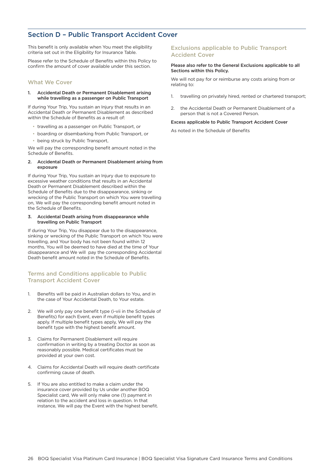# <span id="page-26-0"></span>Section D – Public Transport Accident Cover

This benefit is only available when You meet the eligibility criteria set out in the Eligibility for Insurance Table.

Please refer to the Schedule of Benefits within this Policy to confirm the amount of cover available under this section.

## What We Cover

#### 1. Accidental Death or Permanent Disablement arising while travelling as a passenger on Public Transport

If during Your Trip, You sustain an Injury that results in an Accidental Death or Permanent Disablement as described within the Schedule of Benefits as a result of:

- travelling as a passenger on Public Transport, or
- boarding or disembarking from Public Transport, or
- being struck by Public Transport,

We will pay the corresponding benefit amount noted in the Schedule of Benefits.

#### 2. Accidental Death or Permanent Disablement arising from exposure

If during Your Trip, You sustain an Injury due to exposure to excessive weather conditions that results in an Accidental Death or Permanent Disablement described within the Schedule of Benefits due to the disappearance, sinking or wrecking of the Public Transport on which You were travelling on, We will pay the corresponding benefit amount noted in the Schedule of Benefits.

#### 3. Accidental Death arising from disappearance while travelling on Public Transport

If during Your Trip, You disappear due to the disappearance, sinking or wrecking of the Public Transport on which You were travelling, and Your body has not been found within 12 months, You will be deemed to have died at the time of Your disappearance and We will pay the corresponding Accidental Death benefit amount noted in the Schedule of Benefits.

## Terms and Conditions applicable to Public Transport Accident Cover

- 1. Benefits will be paid in Australian dollars to You, and in the case of Your Accidental Death, to Your estate.
- 2. We will only pay one benefit type (i-vii in the Schedule of Benefits) for each Event, even if multiple benefit types apply. If multiple benefit types apply, We will pay the benefit type with the highest benefit amount.
- 3. Claims for Permanent Disablement will require confirmation in writing by a treating Doctor as soon as reasonably possible. Medical certificates must be provided at your own cost.
- 4. Claims for Accidental Death will require death certificate confirming cause of death.
- 5. If You are also entitled to make a claim under the insurance cover provided by Us under another BOQ Specialist card, We will only make one (1) payment in relation to the accident and loss in question. In that instance, We will pay the Event with the highest benefit.

## Exclusions applicable to Public Transport Accident Cover

#### Please also refer to the General Exclusions applicable to all Sections within this Policy.

We will not pay for or reimburse any costs arising from or relating to:

- 1. travelling on privately hired, rented or chartered transport;
- 2. the Accidental Death or Permanent Disablement of a person that is not a Covered Person.

#### Excess applicable to Public Transport Accident Cover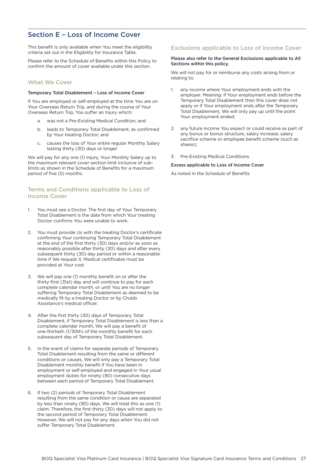# <span id="page-27-0"></span>Section E – Loss of Income Cover

This benefit is only available when You meet the eligibility criteria set out in the Eligibility for Insurance Table.

Please refer to the Schedule of Benefits within this Policy to confirm the amount of cover available under this section.

## What We Cover

#### Temporary Total Disablement – Loss of Income Cover

If You are employed or self-employed at the time You are on Your Overseas Return Trip, and during the course of Your Overseas Return Trip, You suffer an Injury which:

- a. was not a Pre-Existing Medical Condition; and
- b. leads to Temporary Total Disablement, as confirmed by Your treating Doctor; and
- c. causes the loss of Your entire regular Monthly Salary lasting thirty (30) days or longer

We will pay for any one (1) Injury, Your Monthly Salary up to the maximum relevant cover section limit inclusive of sublimits as shown in the Schedule of Benefits for a maximum period of five (5) months.

## Terms and Conditions applicable to Loss of Income Cover

- 1. You must see a Doctor. The first day of Your Temporary Total Disablement is the date from which Your treating Doctor confirms You were unable to work.
- 2. You must provide Us with the treating Doctor's certificate confirming Your continuing Temporary Total Disablement at the end of the first thirty (30) days and/or as soon as reasonably possible after thirty (30) days and after every subsequent thirty (30) day period or within a reasonable time if We request it. Medical certificates must be provided at Your cost.
- 3. We will pay one (1) monthly benefit on or after the thirty-first (31st) day and will continue to pay for each complete calendar month, or until You are no longer suffering Temporary Total Disablement as deemed to be medically fit by a treating Doctor or by Chubb Assistance's medical officer.
- 4. After the first thirty (30) days of Temporary Total Disablement, if Temporary Total Disablement is less than a complete calendar month, We will pay a benefit of one-thirtieth (1/30th) of the monthly benefit for each subsequent day of Temporary Total Disablement.
- 5. In the event of claims for separate periods of Temporary Total Disablement resulting from the same or different conditions or causes, We will only pay a Temporary Total Disablement monthly benefit if You have been in employment or self-employed and engaged in Your usual employment duties for ninety (90) consecutive days between each period of Temporary Total Disablement.
- 6. If two (2) periods of Temporary Total Disablement resulting from the same condition or cause are separated by less than ninety (90) days, We will treat this as one (1) claim. Therefore, the first thirty (30) days will not apply to the second period of Temporary Total Disablement. However, We will not pay for any days when You did not suffer Temporary Total Disablement.

## Exclusions applicable to Loss of Income Cover

#### Please also refer to the General Exclusions applicable to All Sections within this policy.

We will not pay for or reimburse any costs arising from or relating to:

- 1. any income where Your employment ends with the employer. Meaning: if Your employment ends before the Temporary Total Disablement then this cover does not apply or if Your employment ends after the Temporary Total Disablement, We will only pay up until the point Your employment ended;
- 2. any future income You expect or could receive as part of any bonus or bonus structure, salary increase, salary sacrifice scheme or employee benefit scheme (such as shares);
- 3. Pre-Existing Medical Conditions.

#### Excess applicable to Loss of Income Cover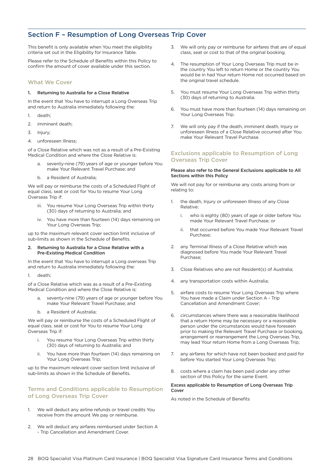# <span id="page-28-0"></span>Section F – Resumption of Long Overseas Trip Cover

This benefit is only available when You meet the eligibility criteria set out in the Eligibility for Insurance Table.

Please refer to the Schedule of Benefits within this Policy to confirm the amount of cover available under this section.

## What We Cover

#### 1. Returning to Australia for a Close Relative

In the event that You have to interrupt a Long Overseas Trip and return to Australia immediately following the:

- 1. death;
- 2. imminent death;
- 3. Injury;
- 4. unforeseen Illness;

of a Close Relative which was not as a result of a Pre-Existing Medical Condition and where the Close Relative is:

- a. seventy-nine (79) years of age or younger before You make Your Relevant Travel Purchase; and
- b. a Resident of Australia;

We will pay or reimburse the costs of a Scheduled Flight of equal class, seat or cost for You to resume Your Long Overseas Trip if:

- iii. You resume Your Long Overseas Trip within thirty (30) days of returning to Australia; and
- iv. You have more than fourteen (14) days remaining on Your Long Overseas Trip;

up to the maximum relevant cover section limit inclusive of sub-limits as shown in the Schedule of Benefits.

#### 2. Returning to Australia for a Close Relative with a Pre-Existing Medical Condition

In the event that You have to interrupt a Long overseas Trip and return to Australia immediately following the:

1. death;

of a Close Relative which was as a result of a Pre-Existing Medical Condition and where the Close Relative is:

- seventy-nine (79) years of age or younger before You make Your Relevant Travel Purchase; and
- b. a Resident of Australia;

We will pay or reimburse the costs of a Scheduled Flight of equal class, seat or cost for You to resume Your Long Overseas Trip if:

- i. You resume Your Long Overseas Trip within thirty (30) days of returning to Australia; and
- ii. You have more than fourteen (14) days remaining on Your Long Overseas Trip;

up to the maximum relevant cover section limit inclusive of sub-limits as shown in the Schedule of Benefits.

## Terms and Conditions applicable to Resumption of Long Overseas Trip Cover

- 1. We will deduct any airline refunds or travel credits You receive from the amount We pay or reimburse.
- 2. We will deduct any airfares reimbursed under Section A - Trip Cancellation and Amendment Cover.
- 3. We will only pay or reimburse for airfares that are of equal class, seat or cost to that of the original booking.
- 4. The resumption of Your Long Overseas Trip must be in the country You left to return Home or the country You would be in had Your return Home not occurred based on the original travel schedule.
- 5. You must resume Your Long Overseas Trip within thirty (30) days of returning to Australia.
- 6. You must have more than fourteen (14) days remaining on Your Long Overseas Trip.
- 7. We will only pay if the death, imminent death, Injury or unforeseen Illness of a Close Relative occurred after You make Your Relevant Travel Purchase.

## Exclusions applicable to Resumption of Long Overseas Trip Cover

#### Please also refer to the General Exclusions applicable to All Sections within this Policy

We will not pay for or reimburse any costs arising from or relating to:

- 1. the death, Injury or unforeseen Illness of any Close Relative:
	- i. who is eighty (80) years of age or older before You made Your Relevant Travel Purchase; or
	- ii. that occurred before You made Your Relevant Travel Purchase;
- 2. any Terminal Illness of a Close Relative which was diagnosed before You made Your Relevant Travel Purchase;
- 3. Close Relatives who are not Resident(s) of Australia;
- 4. any transportation costs within Australia;
- 5. airfare costs to resume Your Long Overseas Trip where You have made a Claim under Section A - Trip Cancellation and Amendment Cover;
- 6. circumstances where there was a reasonable likelihood that a return Home may be necessary or a reasonable person under the circumstances would have foreseen prior to making the Relevant Travel Purchase or booking, arrangement or rearrangement the Long Overseas Trip, may lead Your return Home from a Long Overseas Trip;
- 7. any airfares for which have not been booked and paid for before You started Your Long Overseas Trip;
- 8. costs where a claim has been paid under any other section of this Policy for the same Event.

#### Excess applicable to Resumption of Long Overseas Trip Cover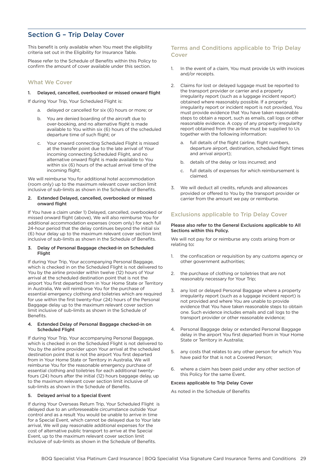# <span id="page-29-0"></span>Section G – Trip Delay Cover

This benefit is only available when You meet the eligibility criteria set out in the Eligibility for Insurance Table.

Please refer to the Schedule of Benefits within this Policy to confirm the amount of cover available under this section.

## What We Cover

## 1. Delayed, cancelled, overbooked or missed onward flight

If during Your Trip, Your Scheduled Flight is:

- delayed or cancelled for six (6) hours or more; or
- b. You are denied boarding of the aircraft due to over-booking, and no alternative flight is made available to You within six (6) hours of the scheduled departure time of such flight; or
- Your onward connecting Scheduled Flight is missed at the transfer point due to the late arrival of Your incoming connecting Scheduled Flight, and no alternative onward flight is made available to You within six (6) hours of the actual arrival time of the incoming flight;

We will reimburse You for additional hotel accommodation (room only) up to the maximum relevant cover section limit inclusive of sub-limits as shown in the Schedule of Benefits.

#### 2. Extended Delayed, cancelled, overbooked or missed onward flight

If You have a claim under 1) Delayed, cancelled, overbooked or missed onward flight (above), We will also reimburse You for additional accommodation expenses (room only) for each full 24-hour period that the delay continues beyond the initial six (6) hour delay up to the maximum relevant cover section limit inclusive of sub-limits as shown in the Schedule of Benefits.

#### 3. Delay of Personal Baggage checked-in on Scheduled Flight

If during Your Trip, Your accompanying Personal Baggage, which is checked in on the Scheduled Flight is not delivered to You by the airline provider within twelve (12) hours of Your arrival at the scheduled destination point that is not the airport You first departed from in Your Home State or Territory in Australia, We will reimburse You for the purchase of essential emergency clothing and toiletries which are required for use within the first twenty-four (24) hours of the Personal Baggage delay up to the maximum relevant cover section limit inclusive of sub-limits as shown in the Schedule of Benefits.

#### 4. Extended Delay of Personal Baggage checked-in on Scheduled Flight

If during Your Trip, Your accompanying Personal Baggage, which is checked in on the Scheduled Flight is not delivered to You by the airline provider upon Your arrival at the scheduled destination point that is not the airport You first departed from in Your Home State or Territory in Australia, We will reimburse You for the reasonable emergency purchase of essential clothing and toiletries for each additional twentyfours (24) hours after the initial (12) hours baggage delay, up to the maximum relevant cover section limit inclusive of sub-limits as shown in the Schedule of Benefits.

## 5. Delayed arrival to a Special Event

If during Your Overseas Return Trip, Your Scheduled Flight is delayed due to an unforeseeable circumstance outside Your control and as a result You would be unable to arrive in time for a Special Event, which cannot be delayed due to Your late arrival, We will pay reasonable additional expenses for the cost of alternative public transport to arrive at the Special Event, up to the maximum relevant cover section limit inclusive of sub-limits as shown in the Schedule of Benefits.

## Terms and Conditions applicable to Trip Delay Cover

- 1. In the event of a claim, You must provide Us with invoices and/or receipts.
- 2. Claims for lost or delayed luggage must be reported to the transport provider or carrier and a property irregularity report (such as a luggage incident report) obtained where reasonably possible. If a property irregularity report or incident report is not provided, You must provide evidence that You have taken reasonable steps to obtain a report, such as emails, call logs or other reasonable evidence. A copy of any property irregularity report obtained from the airline must be supplied to Us together with the following information:
	- a. full details of the flight (airline, flight numbers, departure airport, destination, scheduled flight times and arrival airport);
	- b. details of the delay or loss incurred; and
	- c. full details of expenses for which reimbursement is claimed.
- 3. We will deduct all credits, refunds and allowances provided or offered to You by the transport provider or carrier from the amount we pay or reimburse.

## Exclusions applicable to Trip Delay Cover

#### Please also refer to the General Exclusions applicable to All Sections within this Policy.

We will not pay for or reimburse any costs arising from or relating to:

- 1. the confiscation or requisition by any customs agency or other government authorities;
- 2. the purchase of clothing or toiletries that are not reasonably necessary for Your Trip;
- 3. any lost or delayed Personal Baggage where a property irregularity report (such as a luggage incident report) is not provided and where You are unable to provide evidence that You have taken reasonable steps to obtain one. Such evidence includes emails and call logs to the transport provider or other reasonable evidence;
- 4. Personal Baggage delay or extended Personal Baggage delay in the airport You first departed from in Your Home State or Territory in Australia;
- 5. any costs that relates to any other person for which You have paid for that is not a Covered Person;
- 6. where a claim has been paid under any other section of this Policy for the same Event.

#### Excess applicable to Trip Delay Cover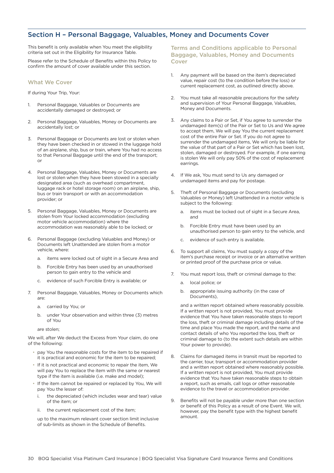# <span id="page-30-0"></span>Section H – Personal Baggage, Valuables, Money and Documents Cover

This benefit is only available when You meet the eligibility criteria set out in the Eligibility for Insurance Table.

Please refer to the Schedule of Benefits within this Policy to confirm the amount of cover available under this section.

## What We Cover

If during Your Trip, Your:

- 1. Personal Baggage, Valuables or Documents are accidentally damaged or destroyed; or
- 2. Personal Baggage, Valuables, Money or Documents are accidentally lost; or
- 3. Personal Baggage or Documents are lost or stolen when they have been checked in or stowed in the luggage hold of an airplane, ship, bus or train, where You had no access to that Personal Baggage until the end of the transport; or
- 4. Personal Baggage, Valuables, Money or Documents are lost or stolen when they have been stowed in a specially designated area (such as overhead compartment, luggage rack or hotel storage room) on an airplane, ship, bus or train transport or with an accommodation provider; or
- 5. Personal Baggage, Valuables, Money or Documents are stolen from Your locked accommodation (excluding motor vehicle accommodation) where the accommodation was reasonably able to be locked; or
- 6. Personal Baggage (excluding Valuables and Money) or Documents left Unattended are stolen from a motor vehicle, where:
	- a. items were locked out of sight in a Secure Area and
	- b. Forcible Entry has been used by an unauthorised person to gain entry to the vehicle and
	- c. evidence of such Forcible Entry is available; or
- 7. Personal Baggage, Valuables, Money or Documents which are:
	- a. carried by You; or
	- b. under Your observation and within three (3) metres of You

are stolen;

We will, after We deduct the Excess from Your claim, do one of the following:

- pay You the reasonable costs for the item to be repaired if it is practical and economic for the item to be repaired;
- If it is not practical and economic to repair the item, We will pay You to replace the item with the same or nearest type if the item is available (i.e. make and model);
- If the item cannot be repaired or replaced by You, We will pay You the lesser of:
- i. the depreciated (which includes wear and tear) value of the item; or
- the current replacement cost of the item:

up to the maximum relevant cover section limit inclusive of sub-limits as shown in the Schedule of Benefits.

Terms and Conditions applicable to Personal Baggage, Valuables, Money and Documents Cover

- 1. Any payment will be based on the item's depreciated value, repair cost (to the condition before the loss) or current replacement cost, as outlined directly above.
- 2. You must take all reasonable precautions for the safety and supervision of Your Personal Baggage, Valuables, Money and Documents.
- 3. Any claims to a Pair or Set, if You agree to surrender the undamaged item(s) of the Pair or Set to Us and We agree to accept them, We will pay You the current replacement cost of the entire Pair or Set. If you do not agree to surrender the undamaged items, We will only be liable for the value of that part of a Pair or Set which has been lost, stolen, damaged or destroyed. For example, if one earring is stolen We will only pay 50% of the cost of replacement earrings.
- 4. If We ask, You must send to Us any damaged or undamaged items and pay for postage.
- 5. Theft of Personal Baggage or Documents (excluding Valuables or Money) left Unattended in a motor vehicle is subject to the following:
	- a. items must be locked out of sight in a Secure Area, and
	- b. Forcible Entry must have been used by an unauthorised person to gain entry to the vehicle, and
	- c. evidence of such entry is available.
- 6. To support all claims, You must supply a copy of the item's purchase receipt or invoice or an alternative written or printed proof of the purchase price or value.
- 7. You must report loss, theft or criminal damage to the:
	- a. local police; or
	- b. appropriate issuing authority (in the case of Documents),

and a written report obtained where reasonably possible. If a written report is not provided, You must provide evidence that You have taken reasonable steps to report the loss, theft or criminal damage including details of the time and place You made the report, and the name and contact details of who You reported the loss, theft or criminal damage to (to the extent such details are within Your power to provide).

- 8. Claims for damaged items in transit must be reported to the carrier, tour, transport or accommodation provider and a written report obtained where reasonably possible. If a written report is not provided, You must provide evidence that You have taken reasonable steps to obtain a report, such as emails, call logs or other reasonable evidence to the travel or accommodation provider.
- 9. Benefits will not be payable under more than one section or benefit of this Policy as a result of one Event. We will, however, pay the benefit type with the highest benefit amount.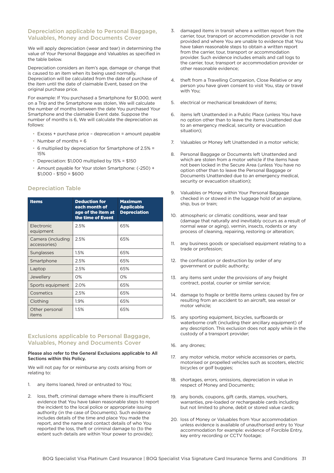## Depreciation applicable to Personal Baggage, Valuables, Money and Documents Cover

We will apply depreciation (wear and tear) in determining the value of Your Personal Baggage and Valuables as specified in the table below.

Depreciation considers an item's age, damage or change that is caused to an item when its being used normally. Depreciation will be calculated from the date of purchase of the item until the date of claimable Event, based on the original purchase price.

For example: If You purchased a Smartphone for \$1,000, went on a Trip and the Smartphone was stolen, We will calculate the number of months between the date You purchased Your Smartphone and the claimable Event date. Suppose the number of months is 6, We will calculate the depreciation as follows:

- Excess + purchase price deprecation = amount payable
- Number of months  $= 6$
- 6 multiplied by depreciation for Smartphone of 2.5% = 15%
- Depreciation: \$1,000 multiplied by 15% = \$150
- Amount payable for Your stolen Smartphone: (-250) +  $$1,000 - $150 = $600$

## Depreciation Table

| <b>Items</b>                      | <b>Deduction for</b><br>each month of<br>age of the item at<br>the time of Event | <b>Maximum</b><br><b>Applicable</b><br><b>Depreciation</b> |
|-----------------------------------|----------------------------------------------------------------------------------|------------------------------------------------------------|
| Electronic<br>equipment           | 2.5%                                                                             | 65%                                                        |
| Camera (including<br>accessories) | 2.5%                                                                             | 65%                                                        |
| Sunglasses                        | 1.5%                                                                             | 65%                                                        |
| Smartphone                        | 2.5%                                                                             | 65%                                                        |
| Laptop                            | 2.5%                                                                             | 65%                                                        |
| Jewellery                         | $O\%$                                                                            | $O\%$                                                      |
| Sports equipment                  | 2.0%                                                                             | 65%                                                        |
| Cosmetics                         | 2.5%                                                                             | 65%                                                        |
| Clothing                          | 1.9%                                                                             | 65%                                                        |
| Other personal<br>items           | 1.5%                                                                             | 65%                                                        |

## Exclusions applicable to Personal Baggage, Valuables, Money and Documents Cover

#### Please also refer to the General Exclusions applicable to All Sections within this Policy.

We will not pay for or reimburse any costs arising from or relating to:

- 1. any items loaned, hired or entrusted to You;
- 2. loss, theft, criminal damage where there is insufficient evidence that You have taken reasonable steps to report the incident to the local police or appropriate issuing authority (in the case of Documents). Such evidence includes details of the time and place You made the report, and the name and contact details of who You reported the loss, theft or criminal damage to (to the extent such details are within Your power to provide);
- 3. damaged items in transit where a written report from the carrier, tour, transport or accommodation provider is not provided and where You are unable to evidence that You have taken reasonable steps to obtain a written report from the carrier, tour, transport or accommodation provider. Such evidence includes emails and call logs to the carrier, tour, transport or accommodation provider or other reasonable evidence;
- 4. theft from a Travelling Companion, Close Relative or any person you have given consent to visit You, stay or travel with You;
- 5. electrical or mechanical breakdown of items;
- 6. items left Unattended in a Public Place (unless You have no option other than to leave the items Unattended due to an emergency medical, security or evacuation situation);
- 7. Valuables or Money left Unattended in a motor vehicle;
- 8. Personal Baggage or Documents left Unattended and which are stolen from a motor vehicle if the items have not been locked in the Secure Area (unless You have no option other than to leave the Personal Baggage or Documents Unattended due to an emergency medical, security or evacuation situation);
- 9. Valuables or Money within Your Personal Baggage checked in or stowed in the luggage hold of an airplane, ship, bus or train;
- 10. atmospheric or climatic conditions, wear and tear (damage that naturally and inevitably occurs as a result of normal wear or aging), vermin, insects, rodents or any process of cleaning, repairing, restoring or alteration;
- 11. any business goods or specialised equipment relating to a trade or profession;
- 12. the confiscation or destruction by order of any government or public authority;
- 13. any items sent under the provisions of any freight contract, postal, courier or similar service;
- 14. damage to fragile or brittle items unless caused by fire or resulting from an accident to an aircraft, sea vessel or motor vehicle;
- 15. any sporting equipment, bicycles, surfboards or waterborne craft (including their ancillary equipment) of any description. This exclusion does not apply while in the custody of a transport provider;
- 16. any drones;
- 17. any motor vehicle, motor vehicle accessories or parts, motorised or propelled vehicles such as scooters, electric bicycles or golf buggies;
- 18. shortages, errors, omissions, depreciation in value in respect of Money and Documents;
- 19. any bonds, coupons, gift cards, stamps, vouchers, warranties, pre-loaded or rechargeable cards including but not limited to phone, debit or stored value cards;
- 20. loss of Money or Valuables from Your accommodation unless evidence is available of unauthorised entry to Your accommodation for example: evidence of Forcible Entry, key entry recording or CCTV footage;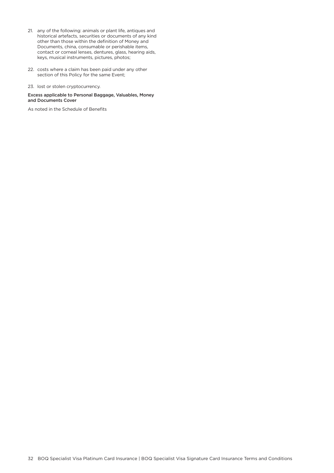- 21. any of the following: animals or plant life, antiques and historical artefacts, securities or documents of any kind other than those within the definition of Money and Documents, china, consumable or perishable items, contact or corneal lenses, dentures, glass, hearing aids, keys, musical instruments, pictures, photos;
- 22. costs where a claim has been paid under any other section of this Policy for the same Event;
- 23. lost or stolen cryptocurrency.

#### Excess applicable to Personal Baggage, Valuables, Money and Documents Cover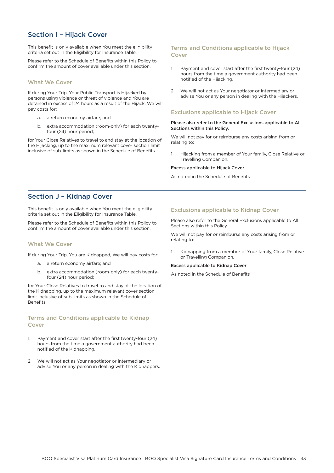# <span id="page-33-0"></span>Section I – Hijack Cover

This benefit is only available when You meet the eligibility criteria set out in the Eligibility for Insurance Table.

Please refer to the Schedule of Benefits within this Policy to confirm the amount of cover available under this section.

## What We Cover

If during Your Trip, Your Public Transport is Hijacked by persons using violence or threat of violence and You are detained in excess of 24 hours as a result of the Hijack, We will pay costs for:

- a. a return economy airfare; and
- b. extra accommodation (room-only) for each twentyfour (24) hour period;

for Your Close Relatives to travel to and stay at the location of the Hijacking, up to the maximum relevant cover section limit inclusive of sub-limits as shown in the Schedule of Benefits.

## Terms and Conditions applicable to Hijack Cover

- 1. Payment and cover start after the first twenty-four (24) hours from the time a government authority had been notified of the Hijacking.
- 2. We will not act as Your negotiator or intermediary or advise You or any person in dealing with the Hijackers.

## Exclusions applicable to Hijack Cover

#### Please also refer to the General Exclusions applicable to All Sections within this Policy.

We will not pay for or reimburse any costs arising from or relating to:

1. Hijacking from a member of Your family, Close Relative or Travelling Companion.

#### Excess applicable to Hijack Cover

As noted in the Schedule of Benefits

## Section J – Kidnap Cover

This benefit is only available when You meet the eligibility criteria set out in the Eligibility for Insurance Table.

Please refer to the Schedule of Benefits within this Policy to confirm the amount of cover available under this section.

### What We Cover

If during Your Trip, You are Kidnapped, We will pay costs for:

- a. a return economy airfare; and
- b. extra accommodation (room-only) for each twentyfour (24) hour period;

for Your Close Relatives to travel to and stay at the location of the Kidnapping, up to the maximum relevant cover section limit inclusive of sub-limits as shown in the Schedule of Benefits.

## Terms and Conditions applicable to Kidnap Cover

- 1. Payment and cover start after the first twenty-four (24) hours from the time a government authority had been notified of the Kidnapping.
- 2. We will not act as Your negotiator or intermediary or advise You or any person in dealing with the Kidnappers.

## Exclusions applicable to Kidnap Cover

Please also refer to the General Exclusions applicable to All Sections within this Policy.

We will not pay for or reimburse any costs arising from or relating to:

1. Kidnapping from a member of Your family, Close Relative or Travelling Companion.

#### Excess applicable to Kidnap Cover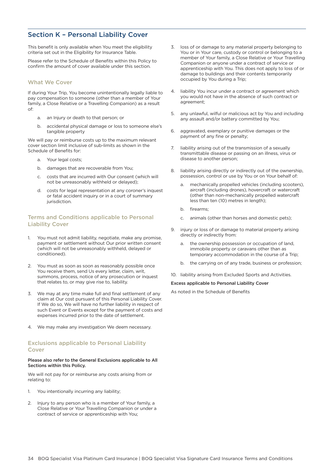# <span id="page-34-0"></span>Section K – Personal Liability Cover

This benefit is only available when You meet the eligibility criteria set out in the Eligibility for Insurance Table.

Please refer to the Schedule of Benefits within this Policy to confirm the amount of cover available under this section.

## What We Cover

If during Your Trip, You become unintentionally legally liable to pay compensation to someone (other than a member of Your family, a Close Relative or a Travelling Companion) as a result of:

- a. an Injury or death to that person; or
- b. accidental physical damage or loss to someone else's tangible property

We will pay or reimburse costs up to the maximum relevant cover section limit inclusive of sub-limits as shown in the Schedule of Benefits for:

- a. Your legal costs;
- b. damages that are recoverable from You;
- c. costs that are incurred with Our consent (which will not be unreasonably withheld or delayed);
- d. costs for legal representation at any coroner's inquest or fatal accident inquiry or in a court of summary jurisdiction.

## Terms and Conditions applicable to Personal Liability Cover

- 1. You must not admit liability, negotiate, make any promise, payment or settlement without Our prior written consent (which will not be unreasonably withheld, delayed or conditioned).
- 2. You must as soon as soon as reasonably possible once You receive them, send Us every letter, claim, writ, summons, process, notice of any prosecution or inquest that relates to, or may give rise to, liability.
- 3. We may at any time make full and final settlement of any claim at Our cost pursuant of this Personal Liability Cover. If We do so, We will have no further liability in respect of such Event or Events except for the payment of costs and expenses incurred prior to the date of settlement.
- 4. We may make any investigation We deem necessary.

## Exclusions applicable to Personal Liability Cover

#### Please also refer to the General Exclusions applicable to All Sections within this Policy.

We will not pay for or reimburse any costs arising from or relating to:

- 1. You intentionally incurring any liability;
- 2. Injury to any person who is a member of Your family, a Close Relative or Your Travelling Companion or under a contract of service or apprenticeship with You;
- 3. loss of or damage to any material property belonging to You or in Your care, custody or control or belonging to a member of Your family, a Close Relative or Your Travelling Companion or anyone under a contract of service or apprenticeship with You. This does not apply to loss of or damage to buildings and their contents temporarily occupied by You during a Trip;
- 4. liability You incur under a contract or agreement which you would not have in the absence of such contract or agreement;
- 5. any unlawful, wilful or malicious act by You and including any assault and/or battery committed by You;
- 6. aggravated, exemplary or punitive damages or the payment of any fine or penalty;
- 7. liability arising out of the transmission of a sexually transmittable disease or passing on an illness, virus or disease to another person;
- 8. liability arising directly or indirectly out of the ownership, possession, control or use by You or on Your behalf of:
	- a. mechanically propelled vehicles (including scooters), aircraft (including drones), hovercraft or watercraft (other than non-mechanically propelled watercraft less than ten (10) metres in length);
	- b. firearms;
	- c. animals (other than horses and domestic pets);
- 9. injury or loss of or damage to material property arising directly or indirectly from:
	- a. the ownership possession or occupation of land, immobile property or caravans other than as temporary accommodation in the course of a Trip;
	- b. the carrying on of any trade, business or profession;

10. liability arising from Excluded Sports and Activities.

Excess applicable to Personal Liability Cover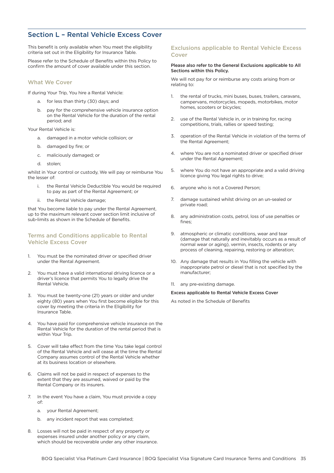# <span id="page-35-0"></span>Section L – Rental Vehicle Excess Cover

This benefit is only available when You meet the eligibility criteria set out in the Eligibility for Insurance Table.

Please refer to the Schedule of Benefits within this Policy to confirm the amount of cover available under this section.

## What We Cover

If during Your Trip, You hire a Rental Vehicle:

- a. for less than thirty (30) days; and
- pay for the comprehensive vehicle insurance option on the Rental Vehicle for the duration of the rental period; and

Your Rental Vehicle is:

- a. damaged in a motor vehicle collision; or
- b. damaged by fire; or
- c. maliciously damaged; or
- d. stolen;

whilst in Your control or custody, We will pay or reimburse You the lesser of:

- the Rental Vehicle Deductible You would be required to pay as part of the Rental Agreement; or
- ii. the Rental Vehicle damage;

that You become liable to pay under the Rental Agreement, up to the maximum relevant cover section limit inclusive of sub-limits as shown in the Schedule of Benefits.

## Terms and Conditions applicable to Rental Vehicle Excess Cover

- 1. You must be the nominated driver or specified driver under the Rental Agreement.
- 2. You must have a valid international driving licence or a driver's licence that permits You to legally drive the Rental Vehicle.
- 3. You must be twenty-one (21) years or older and under eighty (80) years when You first become eligible for this cover by meeting the criteria in the Eligibility for Insurance Table.
- 4. You have paid for comprehensive vehicle insurance on the Rental Vehicle for the duration of the rental period that is within Your Trip.
- 5. Cover will take effect from the time You take legal control of the Rental Vehicle and will cease at the time the Rental Company assumes control of the Rental Vehicle whether at its business location or elsewhere.
- 6. Claims will not be paid in respect of expenses to the extent that they are assumed, waived or paid by the Rental Company or its insurers.
- 7. In the event You have a claim, You must provide a copy of:
	- a. your Rental Agreement;
	- b. any incident report that was completed;
- 8. Losses will not be paid in respect of any property or expenses insured under another policy or any claim, which should be recoverable under any other insurance.

## Exclusions applicable to Rental Vehicle Excess Cover

#### Please also refer to the General Exclusions applicable to All Sections within this Policy.

We will not pay for or reimburse any costs arising from or relating to:

- 1. the rental of trucks, mini buses, buses, trailers, caravans, campervans, motorcycles, mopeds, motorbikes, motor homes, scooters or bicycles;
- 2. use of the Rental Vehicle in, or in training for, racing competitions, trials, rallies or speed testing;
- 3. operation of the Rental Vehicle in violation of the terms of the Rental Agreement;
- 4. where You are not a nominated driver or specified driver under the Rental Agreement;
- 5. where You do not have an appropriate and a valid driving licence giving You legal rights to drive;
- 6. anyone who is not a Covered Person;
- 7. damage sustained whilst driving on an un-sealed or private road;
- 8. any administration costs, petrol, loss of use penalties or fines;
- 9. atmospheric or climatic conditions, wear and tear (damage that naturally and inevitably occurs as a result of normal wear or aging), vermin, insects, rodents or any process of cleaning, repairing, restoring or alteration;
- 10. Any damage that results in You filling the vehicle with inappropriate petrol or diesel that is not specified by the manufacturer;
- 11. any pre-existing damage.

#### Excess applicable to Rental Vehicle Excess Cover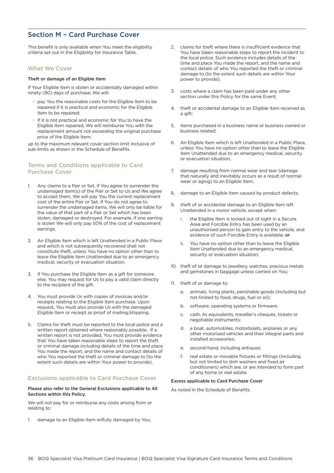# <span id="page-36-0"></span>Section M – Card Purchase Cover

This benefit is only available when You meet the eligibility criteria set out in the Eligibility for Insurance Table.

### What We Cover

### Theft or damage of an Eligible Item

If Your Eligible Item is stolen or accidentally damaged within ninety (90) days of purchase, We will:

- pay You the reasonable costs for the Eligible Item to be repaired if it is practical and economic for the Eligible Item to be repaired;
- If it is not practical and economic for You to have the Eligible Item repaired, We will reimburse You with the replacement amount not exceeding the original purchase price of the Eligible Item;

up to the maximum relevant cover section limit inclusive of sub-limits as shown in the Schedule of Benefits.

## Terms and Conditions applicable to Card Purchase Cover

- 1. Any claims to a Pair or Set, if You agree to surrender the undamaged item(s) of the Pair or Set to Us and We agree to accept them, We will pay You the current replacement cost of the entire Pair or Set. If You do not agree to surrender the undamaged items, We will only be liable for the value of that part of a Pair or Set which has been stolen, damaged or destroyed. For example, if one earring is stolen We will only pay 50% of the cost of replacement earrings.
- 2. An Eligible Item which is left Unattended in a Public Place and which is not subsequently recovered shall not constitute theft, unless You have no option other than to leave the Eligible Item Unattended due to an emergency medical, security or evacuation situation.
- 3. If You purchase the Eligible Item as a gift for someone else, You may request for Us to pay a valid claim directly to the recipient of the gift.
- 4. You must provide Us with copies of invoices and/or receipts relating to the Eligible Item purchase. Upon request, You must also provide Us with the damaged Eligible Item or receipt as proof of mailing/shipping.
- 5. Claims for theft must be reported to the local police and a written report obtained where reasonably possible. If a written report is not provided, You must provide evidence that You have taken reasonable steps to report the theft or criminal damage including details of the time and place You made the report, and the name and contact details of who You reported the theft or criminal damage to (to the extent such details are within Your power to provide).

## Exclusions applicable to Card Purchase Cover

#### Please also refer to the General Exclusions applicable to All Sections within this Policy.

We will not pay for or reimburse any costs arising from or relating to:

1. damage to an Eligible Item wilfully damaged by You;

- 2. claims for theft where there is insufficient evidence that You have taken reasonable steps to report the incident to the local police. Such evidence includes details of the time and place You made the report, and the name and contact details of who You reported the theft or criminal damage to (to the extent such details are within Your power to provide);
- 3. costs where a claim has been paid under any other section under this Policy for the same Event;
- 4. theft or accidental damage to an Eligible Item received as a gift:
- 5. items purchased in a business name or business owned or business related;
- 6. An Eligible Item which is left Unattended in a Public Place, unless You have no option other than to leave the Eligible Item Unattended due to an emergency medical, security or evacuation situation;
- 7. damage resulting from normal wear and tear (damage that naturally and inevitably occurs as a result of normal wear or aging) to an Eligible Item;
- 8. damage to an Eligible Item caused by product defects;
- 9. theft of or accidental damage to an Eligible Item left Unattended in a motor vehicle, except when:
	- the Eligible Item is locked out of sight in a Secure Area and Forcible Entry has been used by an unauthorised person to gain entry to the vehicle, and evidence of such Forcible Entry is available; or
	- ii. You have no option other than to leave the Eligible Item Unattended due to an emergency medical, security or evacuation situation;
- 10. theft of or damage to jewellery, watches, precious metals and gemstones in baggage unless carried on You;
- 11. theft of or damage to:
	- a. animals, living plants, perishable goods (including but not limited to food, drugs, fuel or oil);
	- b. software, operating systems or firmware;
	- c. cash, its equivalents, traveller's cheques, tickets or negotiable instruments;
	- d. a boat, automobiles, motorboats, airplanes or any other motorised vehicles and their integral parts and installed accessories;
	- e. second-hand, including antiques;
	- f. real estate or movable fixtures or fittings (including but not limited to dish washers and fixed air conditioners) which are, or are intended to form part of any home or real estate.

#### Excess applicable to Card Purchase Cover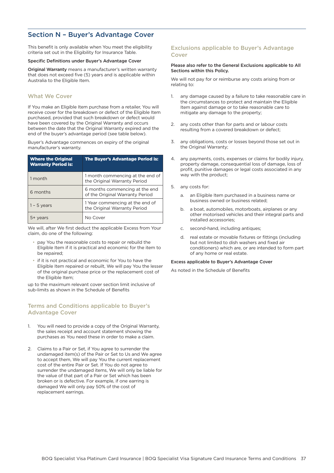# <span id="page-37-0"></span>Section N – Buyer's Advantage Cover

This benefit is only available when You meet the eligibility criteria set out in the Eligibility for Insurance Table.

#### Specific Definitions under Buyer's Advantage Cover

Original Warranty means a manufacturer's written warranty that does not exceed five (5) years and is applicable within Australia to the Eligible Item.

## What We Cover

If You make an Eligible Item purchase from a retailer, You will receive cover for the breakdown or defect of the Eligible Item purchased, provided that such breakdown or defect would have been covered by the Original Warranty and occurs between the date that the Original Warranty expired and the end of the buyer's advantage period (see table below).

Buyer's Advantage commences on expiry of the original manufacturer's warranty.

| <b>Where the Original</b><br><b>Warranty Period is:</b> | <b>The Buyer's Advantage Period is:</b>                           |
|---------------------------------------------------------|-------------------------------------------------------------------|
| 1 month                                                 | 1 month commencing at the end of<br>the Original Warranty Period  |
| 6 months                                                | 6 months commencing at the end<br>of the Original Warranty Period |
| $1 - 5$ years                                           | 1 Year commencing at the end of<br>the Original Warranty Period   |
|                                                         | No Cover                                                          |

We will, after We first deduct the applicable Excess from Your claim, do one of the following:

- pay You the reasonable costs to repair or rebuild the Eligible Item if it is practical and economic for the item to be repaired;
- if it is not practical and economic for You to have the Eligible Item repaired or rebuilt, We will pay You the lesser of the original purchase price or the replacement cost of the Eligible Item;

up to the maximum relevant cover section limit inclusive of sub-limits as shown in the Schedule of Benefits

## Terms and Conditions applicable to Buyer's Advantage Cover

- 1. You will need to provide a copy of the Original Warranty, the sales receipt and account statement showing the purchases as You need these in order to make a claim.
- 2. Claims to a Pair or Set, if You agree to surrender the undamaged item(s) of the Pair or Set to Us and We agree to accept them, We will pay You the current replacement cost of the entire Pair or Set. If You do not agree to surrender the undamaged items, We will only be liable for the value of that part of a Pair or Set which has been broken or is defective. For example, if one earring is damaged We will only pay 50% of the cost of replacement earrings.

## Exclusions applicable to Buyer's Advantage Cover

#### Please also refer to the General Exclusions applicable to All Sections within this Policy.

We will not pay for or reimburse any costs arising from or relating to:

- 1. any damage caused by a failure to take reasonable care in the circumstances to protect and maintain the Eligible Item against damage or to take reasonable care to mitigate any damage to the property;
- 2. any costs other than for parts and or labour costs resulting from a covered breakdown or defect;
- 3. any obligations, costs or losses beyond those set out in the Original Warranty;
- 4. any payments, costs, expenses or claims for bodily injury, property damage, consequential loss of damage, loss of profit, punitive damages or legal costs associated in any way with the product;
- 5. any costs for:
	- a. an Eligible Item purchased in a business name or business owned or business related;
	- b. a boat, automobiles, motorboats, airplanes or any other motorised vehicles and their integral parts and installed accessories;
	- c. second-hand, including antiques;
	- d. real estate or movable fixtures or fittings (including but not limited to dish washers and fixed air conditioners) which are, or are intended to form part of any home or real estate.

## Excess applicable to Buyer's Advantage Cover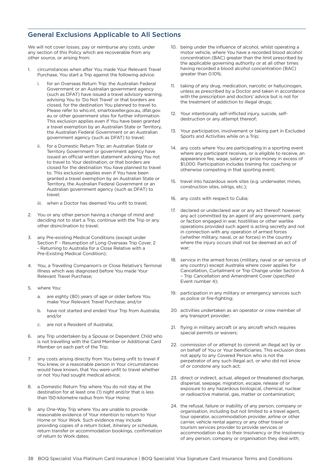# <span id="page-38-0"></span>General Exclusions Applicable to All Sections

We will not cover losses, pay or reimburse any costs, under any section of this Policy which are recoverable from any other source, or arising from:

- 1. circumstances when after You made Your Relevant Travel Purchase, You start a Trip against the following advice:
	- for an Overseas Return Trip: the Australian Federal Government or an Australian government agency (such as DFAT) have issued a travel advisory warning, advising You to 'Do Not Travel' or that borders are closed, for the destination You planned to travel to. Please refer to who.int, smartraveller.gov.au, dfat.gov. au or other government sites for further information. This exclusion applies even if You have been granted a travel exemption by an Australian State or Territory, the Australian Federal Government or an Australian government agency (such as DFAT) to travel;
	- ii. for a Domestic Return Trip: an Australian State or Territory Government or government agency have issued an official written statement advising You not to travel to Your destination, or that borders are closed for the destination You have planned to travel to. This exclusion applies even if You have been granted a travel exemption by an Australian State or Territory, the Australian Federal Government or an Australian government agency (such as DFAT) to travel;
	- iii. when a Doctor has deemed You unfit to travel;
- 2. You or any other person having a change of mind and deciding not to start a Trip, continue with the Trip or any other disinclination to travel;
- 3. any Pre-existing Medical Conditions (except under Section F - Resumption of Long Overseas Trip Cover, 2 - Returning to Australia for a Close Relative with a Pre-Existing Medical Condition);
- 4. You, a Travelling Companion's or Close Relative's Terminal Illness which was diagnosed before You made Your Relevant Travel Purchase;
- 5. where You:
	- a. are eighty (80) years of age or older before You make Your Relevant Travel Purchase; and/or
	- b. have not started and ended Your Trip from Australia; and/or
	- c. are not a Resident of Australia;
- 6. any Trip undertaken by a Spouse or Dependent Child who is not travelling with the Card Member or Additional Card Member on each part of the Trip;
- 7. any costs arising directly from You being unfit to travel if You knew, or a reasonable person in Your circumstances would have known, that You were unfit to travel whether or not You had sought medical advice;
- 8. a Domestic Return Trip where You do not stay at the destination for at least one (1) night and/or that is less than 150-kilometre radius from Your Home;
- 9. any One-Way Trip where You are unable to provide reasonable evidence of Your intention to return to Your Home or Your Work. Such evidence may include providing copies of a return ticket, itinerary or schedule, return transfer or accommodation bookings, confirmation of return to Work dates;
- 10. being under the influence of alcohol, whilst operating a motor vehicle, where You have a recorded blood alcohol concentration (BAC) greater than the limit prescribed by the applicable governing authority or at all other times having recorded a blood alcohol concentration (BAC) greater than 0.10%;
- 11. taking of any drug, medication, narcotic or hallucinogen, unless as prescribed by a Doctor and taken in accordance with the prescription and doctors' advice but is not for the treatment of addiction to illegal drugs;
- 12. Your intentionally self-inflicted injury, suicide, selfdestruction or any attempt thereof;
- 13. Your participation, involvement or taking part in Excluded Sports and Activities while on a Trip;
- 14. any costs where You are participating in a sporting event where any participant receives, or is eligible to receive, an appearance fee, wage, salary or prize money in excess of \$1,000. Participation includes training for, coaching or otherwise competing in that sporting event;
- 15. travel into hazardous work sites (e.g. underwater, mines, construction sites, oilrigs, etc.);
- 16. any costs with respect to Cuba;
- 17. declared or undeclared war or any act thereof; however, any act committed by an agent of any government, party or faction engaged in war, hostilities or other warlike operations provided such agent is acting secretly and not in connection with any operation of armed forces (whether military, naval, or air forces) in the country where the injury occurs shall not be deemed an act of war;
- 18. service in the armed forces (military, naval or air service of any country) except Australia where cover applies for Cancellation, Curtailment or Trip Change under Section A – Trip Cancellation and Amendment Cover (specified Event number 4);
- 19. participation in any military or emergency services such as police or fire-fighting;
- 20. activities undertaken as an operator or crew member of any transport provider;
- 21. flying in military aircraft or any aircraft which requires special permits or waivers;
- 22. commission of or attempt to commit an illegal act by or on behalf of You or Your beneficiaries. This exclusion does not apply to any Covered Person who is not the perpetrator of any such illegal act, or who did not know of or condone any such act;
- 23. direct or indirect, actual, alleged or threatened discharge, dispersal, seepage, migration, escape, release of or exposure to any hazardous biological, chemical, nuclear or radioactive material, gas, matter or contamination;
- 24. the refusal, failure or inability of any person, company or organisation, including but not limited to a travel agent, tour operator, accommodation provider, airline or other carrier, vehicle rental agency or any other travel or tourism services provider to provide services or accommodation due to their Insolvency or the Insolvency of any person, company or organisation they deal with;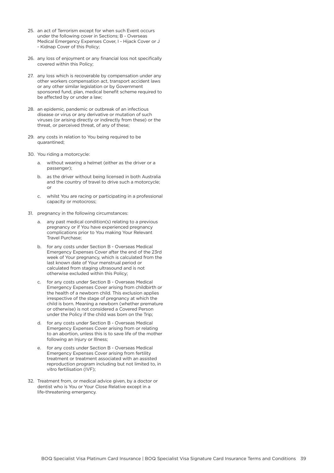- 25. an act of Terrorism except for when such Event occurs under the following cover in Sections; B - Overseas Medical Emergency Expenses Cover, I - Hijack Cover or J - Kidnap Cover of this Policy;
- 26. any loss of enjoyment or any financial loss not specifically covered within this Policy;
- 27. any loss which is recoverable by compensation under any other workers compensation act, transport accident laws or any other similar legislation or by Government sponsored fund, plan, medical benefit scheme required to be affected by or under a law;
- 28. an epidemic, pandemic or outbreak of an infectious disease or virus or any derivative or mutation of such viruses (or arising directly or indirectly from these) or the threat, or perceived threat, of any of these;
- 29. any costs in relation to You being required to be quarantined;
- 30. You riding a motorcycle:
	- a. without wearing a helmet (either as the driver or a passenger);
	- b. as the driver without being licensed in both Australia and the country of travel to drive such a motorcycle; or
	- c. whilst You are racing or participating in a professional capacity or motocross;
- 31. pregnancy in the following circumstances:
	- a. any past medical condition(s) relating to a previous pregnancy or if You have experienced pregnancy complications prior to You making Your Relevant Travel Purchase;
	- b. for any costs under Section B Overseas Medical Emergency Expenses Cover after the end of the 23rd week of Your pregnancy, which is calculated from the last known date of Your menstrual period or calculated from staging ultrasound and is not otherwise excluded within this Policy;
	- c. for any costs under Section B Overseas Medical Emergency Expenses Cover arising from childbirth or the health of a newborn child. This exclusion applies irrespective of the stage of pregnancy at which the child is born. Meaning a newborn (whether premature or otherwise) is not considered a Covered Person under the Policy if the child was born on the Trip;
	- d. for any costs under Section B Overseas Medical Emergency Expenses Cover arising from or relating to an abortion, unless this is to save life of the mother following an Injury or Illness;
	- e. for any costs under Section B Overseas Medical Emergency Expenses Cover arising from fertility treatment or treatment associated with an assisted reproduction program including but not limited to, in vitro fertilisation (IVF);
- 32. Treatment from, or medical advice given, by a doctor or dentist who is You or Your Close Relative except in a life-threatening emergency.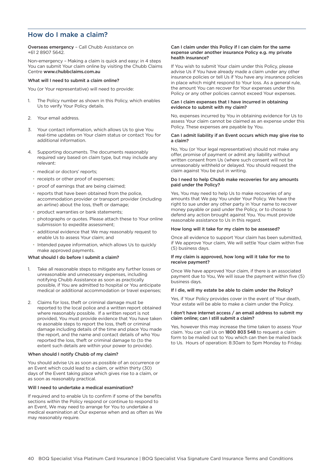# <span id="page-40-0"></span>How do I make a claim?

Overseas emergency – Call Chubb Assistance on +61 2 8907 5642.

Non-emergency – Making a claim is quick and easy: in 4 steps You can submit Your claim online by visiting the Chubb Claims Centre www.chubbclaims.com.au

#### What will I need to submit a claim online?

You (or Your representative) will need to provide:

- 1. The Policy number as shown in this Policy, which enables Us to verify Your Policy details.
- 2. Your email address.
- 3. Your contact information, which allows Us to give You real-time updates on Your claim status or contact You for additional information.
- 4. Supporting documents. The documents reasonably required vary based on claim type, but may include any relevant:
	- medical or doctors' reports;
	- receipts or other proof of expenses;
	- proof of earnings that are being claimed;
	- reports that have been obtained from the police, accommodation provider or transport provider (including an airline) about the loss, theft or damage;
	- product warranties or bank statements;
	- photographs or quotes. Please attach these to Your online submission to expedite assessment;
	- additional evidence that We may reasonably request to enable Us to assess Your claim; and
	- Intended payee information, which allows Us to quickly make approved payments.

## What should I do before I submit a claim?

- 1. Take all reasonable steps to mitigate any further losses or unreasonable and unnecessary expenses, including notifying Chubb Assistance as soon as practically possible, if You are admitted to hospital or You anticipate medical or additional accommodation or travel expenses;
- Claims for loss, theft or criminal damage must be reported to the local police and a written report obtained where reasonably possible. If a written report is not provided, You must provide evidence that You have taken re asonable steps to report the loss, theft or criminal damage including details of the time and place You made the report, and the name and contact details of who You reported the loss, theft or criminal damage to (to the extent such details are within your power to provide).

#### When should I notify Chubb of my claim?

You should advise Us as soon as possible of an occurrence or an Event which could lead to a claim, or within thirty (30) days of the Event taking place which gives rise to a claim, or as soon as reasonably practical.

#### Will I need to undertake a medical examination?

If required and to enable Us to confirm if some of the benefits sections within the Policy respond or continue to respond to an Event, We may need to arrange for You to undertake a medical examination at Our expense when and as often as We may reasonably require.

#### Can I claim under this Policy if I can claim for the same expense under another insurance Policy e.g. my private health insurance?

If You wish to submit Your claim under this Policy, please advise Us if You have already made a claim under any other insurance policies or tell Us if You have any insurance policies in place which might respond to Your loss. As a general rule, the amount You can recover for Your expenses under this Policy or any other policies cannot exceed Your expenses.

#### Can I claim expenses that I have incurred in obtaining evidence to submit with my claim?

No, expenses incurred by You in obtaining evidence for Us to assess Your claim cannot be claimed as an expense under this Policy. These expenses are payable by You.

#### Can I admit liability if an Event occurs which may give rise to a claim?

No, You (or Your legal representative) should not make any offer, promise of payment or admit any liability without written consent from Us (where such consent will not be unreasonably withheld or delayed. You should request the claim against You be put in writing.

#### Do I need to help Chubb make recoveries for any amounts paid under the Policy?

Yes, You may need to help Us to make recoveries of any amounts that We pay You under Your Policy. We have the right to sue under any other party in Your name to recover money payable or paid under the Policy, or to choose to defend any action brought against You. You must provide reasonable assistance to Us in this regard.

#### How long will it take for my claim to be assessed?

Once all evidence to support Your claim has been submitted, if We approve Your claim, We will settle Your claim within five (5) business days.

#### If my claim is approved, how long will it take for me to receive payment?

Once We have approved Your claim, if there is an associated payment due to You, We will issue the payment within five (5) business days.

#### If I die, will my estate be able to claim under the Policy?

Yes, if Your Policy provides cover in the event of Your death, Your estate will be able to make a claim under the Policy.

#### I don't have internet access / an email address to submit my claim online; can I still submit a claim?

Yes, however this may increase the time taken to assess Your claim. You can call Us on 1800 803 548 to request a claim form to be mailed out to You which can then be mailed back to Us. Hours of operation: 8:30am to 5pm Monday to Friday.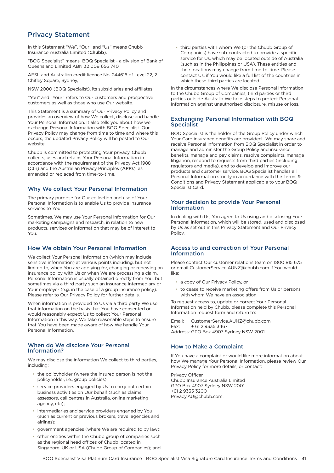## <span id="page-41-0"></span>Privacy Statement

In this Statement "We", "Our" and "Us" means Chubb Insurance Australia Limited (Chubb).

"BOQ Specialist" means BOQ Specialist - a division of Bank of Queensland Limited ABN 32 009 656 740

AFSL and Australian credit licence No. 244616 of Level 22, 2 Chifley Square, Sydney,

NSW 2000 (BOQ Specialist), its subsidiaries and affiliates.

"You" and "Your" refers to Our customers and prospective customers as well as those who use Our website.

This Statement is a summary of Our Privacy Policy and provides an overview of how We collect, disclose and handle Your Personal Information. It also tells you about how we exchange Personal Information with BOQ Specialist. Our Privacy Policy may change from time to time and where this occurs, the updated Privacy Policy will be posted to [Our](https://www.chubb.com/au-en/footer/privacy.html)  [website](https://www.chubb.com/au-en/footer/privacy.html).

Chubb is committed to protecting Your privacy. Chubb collects, uses and retains Your Personal Information in accordance with the requirement of the Privacy Act 1988 (Cth) and the Australian Privacy Principles (APPs), as amended or replaced from time-to-time.

## Why We collect Your Personal Information

The primary purpose for Our collection and use of Your Personal Information is to enable Us to provide insurance services to You.

Sometimes, We may use Your Personal Information for Our marketing campaigns and research, in relation to new products, services or information that may be of interest to You.

## How We obtain Your Personal Information

We collect Your Personal Information (which may include sensitive information) at various points including, but not limited to, when You are applying for, changing or renewing an insurance policy with Us or when We are processing a claim. Personal Information is usually obtained directly from You, but sometimes via a third party such an insurance intermediary or Your employer (e.g. in the case of a group insurance policy). Please refer to Our Privacy Policy for further details.

When information is provided to Us via a third party We use that information on the basis that You have consented or would reasonably expect Us to collect Your Personal Information in this way. We take reasonable steps to ensure that You have been made aware of how We handle Your Personal Information.

## When do We disclose Your Personal Information?

We may disclose the information We collect to third parties, including:

- the policyholder (where the insured person is not the policyholder, i.e., group policies);
- service providers engaged by Us to carry out certain business activities on Our behalf (such as claims assessors, call centres in Australia, online marketing agency, etc);
- intermediaries and service providers engaged by You (such as current or previous brokers, travel agencies and airlines);
- government agencies (where We are required to by law);
- other entities within the Chubb group of companies such as the regional head offices of Chubb located in Singapore, UK or USA (Chubb Group of Companies); and

• third parties with whom We (or the Chubb Group of Companies) have sub-contracted to provide a specific service for Us, which may be located outside of Australia (such as in the Philippines or USA). These entities and their locations may change from time-to-time. Please contact Us, if You would like a full list of the countries in which these third parties are located.

In the circumstances where We disclose Personal Information to the Chubb Group of Companies, third parties or third parties outside Australia We take steps to protect Personal Information against unauthorised disclosure, misuse or loss.

## Exchanging Personal Information with BOQ **Specialist**

BOQ Specialist is the holder of the Group Policy under which Your Card insurance benefits are provided. We may share and receive Personal Information from BOQ Specialist in order to manage and administer the Group Policy and insurance benefits, manage and pay claims, resolve complaints, manage litigation, respond to requests from third parties (including regulators and media), and to develop and improve our products and customer service. BOQ Specialist handles all Personal Information strictly in accordance with the Terms & Conditions and Privacy Statement applicable to your BOQ Specialist Card.

## Your decision to provide Your Personal Information

In dealing with Us, You agree to Us using and disclosing Your Personal Information, which will be stored, used and disclosed by Us as set out in this Privacy Statement and Our Privacy Policy.

### Access to and correction of Your Personal Information

Please contact Our customer relations team on 1800 815 675 or email [CustomerService.AUNZ@chubb.com](mailto:CustomerService.AUNZ@chubb.com) if You would like:

- a copy of Our Privacy Policy, or
- to cease to receive marketing offers from Us or persons with whom We have an association.

To request access to, update or correct Your Personal Information held by Chubb, please complete this [Personal](https://www.chubb.com/content/dam/chubb-sites/chubb-com/au-en/footer/privacy/documents/pdf/2014-03-05-personal-information-request-form.pdf)  [Information request form](https://www.chubb.com/content/dam/chubb-sites/chubb-com/au-en/footer/privacy/documents/pdf/2014-03-05-personal-information-request-form.pdf) and return to:

Email: [CustomerService.AUNZ@chubb.com](mailto:CustomerService.AUNZ@chubb.com) Fax: + 61 2 9335 3467 Address: GPO Box 4907 Sydney NSW 2001

## How to Make a Complaint

If You have a complaint or would like more information about how We manage Your Personal Information, please review Our [Privacy Policy](https://www.chubb.com/content/dam/chubb-sites/chubb-com/au-en/footer/privacy/documents/pdf/chubb-insurance-australia-limited-privacy-policy-2017_01.pdf) for more details, or contact:

Privacy Officer Chubb Insurance Australia Limited GPO Box 4907 Sydney NSW 2001 +61 2 9335 3200 [Privacy.AU@chubb.com.](mailto:Privacy.AU@chubb.com)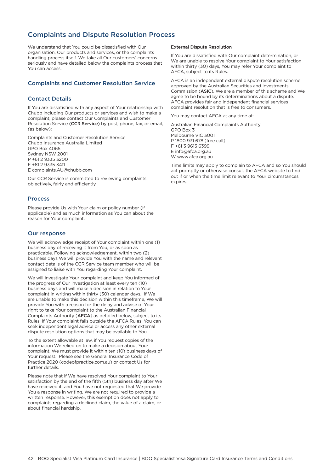# <span id="page-42-0"></span>Complaints and Dispute Resolution Process

We understand that You could be dissatisfied with Our organisation, Our products and services, or the complaints handling process itself. We take all Our customers' concerns seriously and have detailed below the complaints process that You can access.

## Complaints and Customer Resolution Service

## Contact Details

If You are dissatisfied with any aspect of Your relationship with Chubb including Our products or services and wish to make a complaint, please contact Our Complaints and Customer Resolution Service (CCR Service) by post, phone, fax, or email, (as below):

Complaints and Customer Resolution Service Chubb Insurance Australia Limited GPO Box 4065 Sydney NSW 2001 P +61 2 9335 3200 F +61 2 9335 3411 E [complaints.AU@chubb.com](mailto:complaints.AU@chubb.com)

Our CCR Service is committed to reviewing complaints objectively, fairly and efficiently.

#### Process

Please provide Us with Your claim or policy number (if applicable) and as much information as You can about the reason for Your complaint.

#### Our response

We will acknowledge receipt of Your complaint within one (1) business day of receiving it from You, or as soon as practicable. Following acknowledgement, within two (2) business days We will provide You with the name and relevant contact details of the CCR Service team member who will be assigned to liaise with You regarding Your complaint.

We will investigate Your complaint and keep You informed of the progress of Our investigation at least every ten (10) business days and will make a decision in relation to Your complaint in writing within thirty (30) calendar days. If We are unable to make this decision within this timeframe, We will provide You with a reason for the delay and advise of Your right to take Your complaint to the Australian Financial Complaints Authority (AFCA) as detailed below, subject to its Rules. If Your complaint falls outside the AFCA Rules, You can seek independent legal advice or access any other external dispute resolution options that may be available to You.

To the extent allowable at law, if You request copies of the information We relied on to make a decision about Your complaint, We must provide it within ten (10) business days of Your request. Please see the General Insurance Code of Practice 2020 [\(codeofpractice.com.au\)](https://insurancecouncil.com.au/cop/) or contact Us for further details.

Please note that if We have resolved Your complaint to Your satisfaction by the end of the fifth (5th) business day after We have received it, and You have not requested that We provide You a response in writing, We are not required to provide a written response. However, this exemption does not apply to complaints regarding a declined claim, the value of a claim, or about financial hardship.

#### External Dispute Resolution

If You are dissatisfied with Our complaint determination, or We are unable to resolve Your complaint to Your satisfaction within thirty (30) days, You may refer Your complaint to AFCA, subject to its Rules.

AFCA is an independent external dispute resolution scheme approved by the Australian Securities and Investments Commission (ASIC). We are a member of this scheme and We agree to be bound by its determinations about a dispute. AFCA provides fair and independent financial services complaint resolution that is free to consumers.

You may contact AFCA at any time at:

Australian Financial Complaints Authority GPO Box 3 Melbourne VIC 3001 P 1800 931 678 (free call) F +61 3 9613 6399 E [info@afca.org.au](mailto:info@afca.org.au) W [www.afca.org.au](http://www.afca.org.au)

Time limits may apply to complain to AFCA and so You should act promptly or otherwise consult the AFCA website to find out if or when the time limit relevant to Your circumstances expires.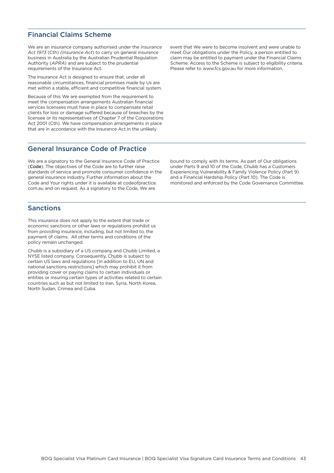# <span id="page-43-0"></span>Financial Claims Scheme

We are an insurance company authorised under the *Insurance Act 1973* (Cth) *(Insurance Act*) to carry on general insurance business in Australia by the Australian Prudential Regulation Authority (*APRA*) and are subject to the prudential requirements of the Insurance Act.

The Insurance Act is designed to ensure that, under all reasonable circumstances, financial promises made by Us are met within a stable, efficient and competitive financial system.

Because of this We are exempted from the requirement to meet the compensation arrangements Australian financial services licensees must have in place to compensate retail clients for loss or damage suffered because of breaches by the licensee or its representatives of Chapter 7 of the Corporations Act 2001 (Cth). We have compensation arrangements in place that are in accordance with the Insurance Act.In the unlikely

## General Insurance Code of Practice

We are a signatory to the General Insurance Code of Practice (Code). The objectives of the Code are to further raise standards of service and promote consumer confidence in the general insurance industry. Further information about the Code and Your rights under it is available at [codeofpractice.](https://insurancecouncil.com.au/cop/) [com.au](https://insurancecouncil.com.au/cop/) and on request. As a signatory to the Code, We are

# Sanctions

This insurance does not apply to the extent that trade or economic sanctions or other laws or regulations prohibit us from providing insurance, including, but not limited to, the payment of claims. All other terms and conditions of the policy remain unchanged.

Chubb is a subsidiary of a US company and Chubb Limited, a NYSE listed company. Consequently, Chubb is subject to certain US laws and regulations [in addition to EU, UN and national sanctions restrictions] which may prohibit it from providing cover or paying claims to certain individuals or entities or insuring certain types of activities related to certain countries such as but not limited to Iran, Syria, North Korea, North Sudan, Crimea and Cuba.

event that We were to become insolvent and were unable to meet Our obligations under the Policy, a person entitled to claim may be entitled to payment under the Financial Claims Scheme. Access to the Scheme is subject to eligibility criteria. Please refer to [www.fcs.gov.au](https://www.fcs.gov.au) for more information.

bound to comply with its terms. As part of Our obligations under Parts 9 and 10 of the Code, Chubb has a [Customers](https://www.chubb.com/au-en/customer-service/support-for-customers-in-need.html)  [Experiencing Vulnerability & Family Violence Policy](https://www.chubb.com/au-en/customer-service/support-for-customers-in-need.html) (Part 9) and a [Financial Hardship Policy](https://www.chubb.com/au-en/customer-service/financial-hardship-policy.html) (Part 10). The Code is monitored and enforced by the Code Governance Committee.